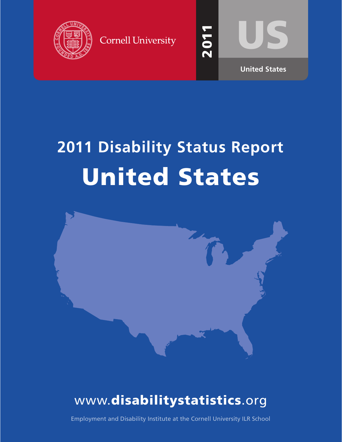





20<br>20

 $\blacktriangledown$  $\blacktriangledown$ 

# **2011 Disability Status Report** United States



## www.disabilitystatistics.org

Employment and Disability Institute at the Cornell University ILR School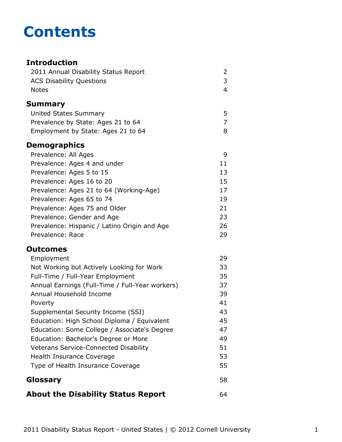## **Contents**

#### **Introduction** [2011 Annual Disability Status Report](#page-2-0) 2 [ACS Disability Questions](#page-3-0) 3 [Notes](#page-4-0) 4 **[Summary](#page-5-0)** [United States Summary](#page-5-0) 5 [Prevalence by State: Ages 21 to 64](#page-7-0) 7 [Employment by State: Ages 21 to 64](#page-8-0) 8 **Demographics** [Prevalence: All Ages](#page-9-0) 9 [Prevalence: Ages 4 and under](#page-11-0) 11 [Prevalence: Ages 5 to 15](#page-13-0) 13 [Prevalence: Ages 16 to 20](#page-15-0) 15 [Prevalence: Ages 21 to 64 \(Working-Age\)](#page-17-0) 17 [Prevalence: Ages 65 to 74](#page-19-0) 19 [Prevalence: Ages 75 and Older](#page-21-0) 21 [Prevalence: Gender and Age](#page-23-0) 23 [Prevalence: Hispanic / Latino Origin and Age](#page-26-0) 26 [Prevalence: Race](#page-29-0) 29 **Outcomes** [Employment](#page-31-0) 29 [Not Working but Actively Looking for Work](#page-33-0) 33 [Full-Time / Full-Year Employment](#page-35-0) 35 [Annual Earnings \(Full-Time / Full-Year workers\)](#page-37-0) 37 [Annual Household Income](#page-39-0) 39 [Poverty](#page-41-0) 41 [Supplemental Security Income \(SSI\)](#page-43-0) 43 [Education: High School Diploma / Equivalent](#page-45-0) 45 [Education: Some College / Associate's Degree](#page-47-0) 47 [Education: Bachelor's Degree or More](#page-49-0) **1988** [Veterans Service-Connected Disability](#page-51-0) 51 [Health Insurance Coverage](#page-53-0) 63 and 53 [Type of Health Insurance Coverage](#page-55-0) 55 **[Glossary](#page-58-0)** 58 **[About the Disability Status Report](#page-64-0)** 64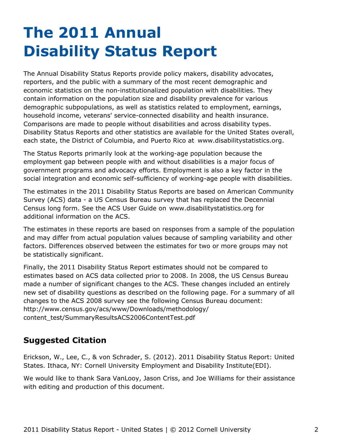## <span id="page-2-0"></span>**The 2011 Annual Disability Status Report**

The Annual Disability Status Reports provide policy makers, disability advocates, reporters, and the public with a summary of the most recent demographic and economic statistics on the non-institutionalized population with disabilities. They contain information on the population size and disability prevalence for various demographic subpopulations, as well as statistics related to employment, earnings, household income, veterans' service-connected disability and health insurance. Comparisons are made to people without disabilities and across disability types. Disability Status Reports and other statistics are available for the United States overall, each state, the District of Columbia, and Puerto Rico at [www.disabilitystatistics.org](http://www.disabilitystatistics.org).

The Status Reports primarily look at the working-age population because the employment gap between people with and without disabilities is a major focus of government programs and advocacy efforts. Employment is also a key factor in the social integration and economic self-sufficiency of working-age people with disabilities.

The estimates in the 2011 Disability Status Reports are based on American Community Survey (ACS) data - a US Census Bureau survey that has replaced the Decennial Census long form. See the ACS User Guide on [www.disabilitystatistics.org](http://www.disabilitystatistics.org) for additional information on the ACS.

The estimates in these reports are based on responses from a sample of the population and may differ from actual population values because of sampling variability and other factors. Differences observed between the estimates for two or more groups may not be statistically significant.

Finally, the 2011 Disability Status Report estimates should not be compared to estimates based on ACS data collected prior to 2008. In 2008, the US Census Bureau made a number of significant changes to the ACS. These changes included an entirely new set of disability questions as described on the following page. For a summary of all changes to the ACS 2008 survey see the following Census Bureau document: [http://www.census.gov/acs/www/Downloads/methodology/](http://www.census.gov/acs/www/Downloads/methodology/content_test/SummaryResultsACS2006ContentTest.pdf) [content\\_test/SummaryResultsACS2006ContentTest.pdf](http://www.census.gov/acs/www/Downloads/methodology/content_test/SummaryResultsACS2006ContentTest.pdf)

#### **Suggested Citation**

Erickson, W., Lee, C., & von Schrader, S. (2012). 2011 Disability Status Report: United States. Ithaca, NY: Cornell University Employment and Disability Institute(EDI).

We would like to thank Sara VanLooy, Jason Criss, and Joe Williams for their assistance with editing and production of this document.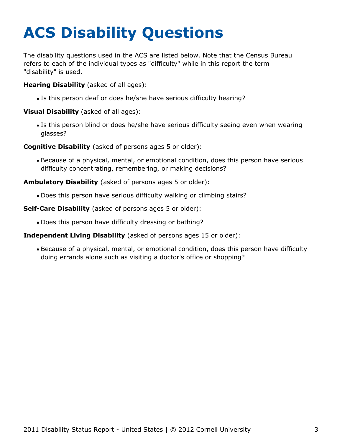# <span id="page-3-0"></span>**ACS Disability Questions**

The disability questions used in the ACS are listed below. Note that the Census Bureau refers to each of the individual types as "difficulty" while in this report the term "disability" is used.

**Hearing Disability** (asked of all ages):

Is this person deaf or does he/she have serious difficulty hearing?

**Visual Disability** (asked of all ages):

Is this person blind or does he/she have serious difficulty seeing even when wearing glasses?

**Cognitive Disability** (asked of persons ages 5 or older):

Because of a physical, mental, or emotional condition, does this person have serious difficulty concentrating, remembering, or making decisions?

**Ambulatory Disability** (asked of persons ages 5 or older):

Does this person have serious difficulty walking or climbing stairs?

**Self-Care Disability** (asked of persons ages 5 or older):

Does this person have difficulty dressing or bathing?

#### **Independent Living Disability** (asked of persons ages 15 or older):

Because of a physical, mental, or emotional condition, does this person have difficulty doing errands alone such as visiting a doctor's office or shopping?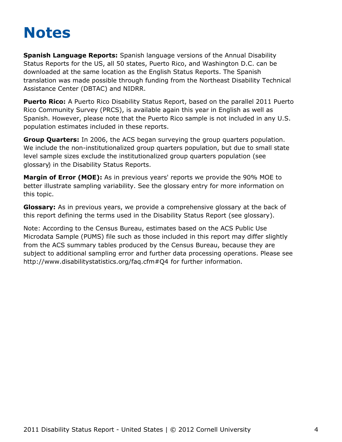## <span id="page-4-0"></span>**Notes**

**Spanish Language Reports:** Spanish language versions of the Annual Disability Status Reports for the US, all 50 states, Puerto Rico, and Washington D.C. can be downloaded at the same location as the English Status Reports. The Spanish translation was made possible through funding from the Northeast Disability Technical Assistance Center (DBTAC) and NIDRR.

**Puerto Rico:** A Puerto Rico Disability Status Report, based on the parallel 2011 Puerto Rico Community Survey (PRCS), is available again this year in English as well as Spanish. However, please note that the Puerto Rico sample is not included in any U.S. population estimates included in these reports.

**Group Quarters:** In 2006, the ACS began surveying the group quarters population. We include the non-institutionalized group quarters population, but due to small state level sample sizes exclude the institutionalized group quarters population (see [glossary](#page-58-0)) in the Disability Status Reports.

**Margin of Error (MOE):** As in previous years' reports we provide the 90% MOE to better illustrate sampling variability. See the glossary entry for more information on this topic.

**Glossary:** As in previous years, we provide a comprehensive glossary at the back of this report defining the terms used in the Disability Status Report (see [glossary](#page-58-0)).

Note: According to the Census Bureau, estimates based on the ACS Public Use Microdata Sample (PUMS) file such as those included in this report may differ slightly from the ACS summary tables produced by the Census Bureau, because they are subject to additional sampling error and further data processing operations. Please see <http://www.disabilitystatistics.org/faq.cfm#Q4> for further information.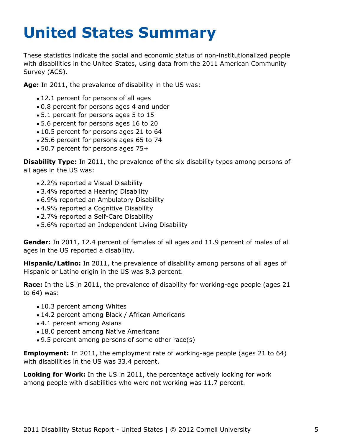# <span id="page-5-0"></span>**United States Summary**

These statistics indicate the social and economic status of non-institutionalized people with disabilities in the United States, using data from the 2011 American Community Survey (ACS).

**Age:** In 2011, the prevalence of disability in the US was:

- 12.1 percent for persons of all ages
- 0.8 percent for persons ages 4 and under
- 5.1 percent for persons ages 5 to 15
- 5.6 percent for persons ages 16 to 20
- 10.5 percent for persons ages 21 to 64
- 25.6 percent for persons ages 65 to 74
- 50.7 percent for persons ages 75+

**Disability Type:** In 2011, the prevalence of the six disability types among persons of all ages in the US was:

- 2.2% reported a Visual Disability
- 3.4% reported a Hearing Disability
- 6.9% reported an Ambulatory Disability
- 4.9% reported a Cognitive Disability
- 2.7% reported a Self-Care Disability
- 5.6% reported an Independent Living Disability

**Gender:** In 2011, 12.4 percent of females of all ages and 11.9 percent of males of all ages in the US reported a disability.

**Hispanic/Latino:** In 2011, the prevalence of disability among persons of all ages of Hispanic or Latino origin in the US was 8.3 percent.

**Race:** In the US in 2011, the prevalence of disability for working-age people (ages 21 to 64) was:

- 10.3 percent among Whites
- 14.2 percent among Black / African Americans
- 4.1 percent among Asians
- 18.0 percent among Native Americans
- 9.5 percent among persons of some other race(s)

**Employment:** In 2011, the employment rate of working-age people (ages 21 to 64) with disabilities in the US was 33.4 percent.

**Looking for Work:** In the US in 2011, the percentage actively looking for work among people with disabilities who were not working was 11.7 percent.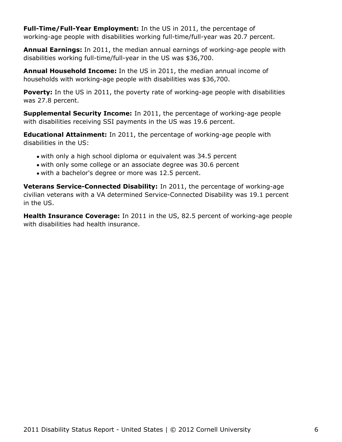**Full-Time/Full-Year Employment:** In the US in 2011, the percentage of working-age people with disabilities working full-time/full-year was 20.7 percent.

**Annual Earnings:** In 2011, the median annual earnings of working-age people with disabilities working full-time/full-year in the US was \$36,700.

**Annual Household Income:** In the US in 2011, the median annual income of households with working-age people with disabilities was \$36,700.

**Poverty:** In the US in 2011, the poverty rate of working-age people with disabilities was 27.8 percent.

**Supplemental Security Income:** In 2011, the percentage of working-age people with disabilities receiving SSI payments in the US was 19.6 percent.

**Educational Attainment:** In 2011, the percentage of working-age people with disabilities in the US:

- with only a high school diploma or equivalent was 34.5 percent
- with only some college or an associate degree was 30.6 percent
- with a bachelor's degree or more was 12.5 percent.

**Veterans Service-Connected Disability:** In 2011, the percentage of working-age civilian veterans with a VA determined Service-Connected Disability was 19.1 percent in the US.

**Health Insurance Coverage:** In 2011 in the US, 82.5 percent of working-age people with disabilities had health insurance.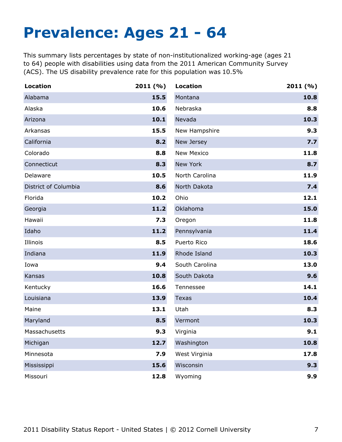## <span id="page-7-0"></span>**Prevalence: Ages 21 - 64**

This summary lists percentages by state of non-institutionalized working-age (ages 21 to 64) people with disabilities using data from the 2011 American Community Survey (ACS). The US disability prevalence rate for this population was 10.5%

| <b>Location</b>      | 2011(%) | <b>Location</b>   | 2011(%) |
|----------------------|---------|-------------------|---------|
| Alabama              | 15.5    | Montana           | 10.8    |
| Alaska               | 10.6    | Nebraska          | 8.8     |
| Arizona              | 10.1    | Nevada            | 10.3    |
| Arkansas             | 15.5    | New Hampshire     | 9.3     |
| California           | 8.2     | New Jersey        | 7.7     |
| Colorado             | 8.8     | <b>New Mexico</b> | 11.8    |
| Connecticut          | 8.3     | New York          | 8.7     |
| Delaware             | 10.5    | North Carolina    | 11.9    |
| District of Columbia | 8.6     | North Dakota      | 7.4     |
| Florida              | 10.2    | Ohio              | 12.1    |
| Georgia              | 11.2    | Oklahoma          | 15.0    |
| Hawaii               | 7.3     | Oregon            | 11.8    |
| Idaho                | 11.2    | Pennsylvania      | 11.4    |
| Illinois             | 8.5     | Puerto Rico       | 18.6    |
| Indiana              | 11.9    | Rhode Island      | 10.3    |
| Iowa                 | 9.4     | South Carolina    | 13.0    |
| Kansas               | 10.8    | South Dakota      | 9.6     |
| Kentucky             | 16.6    | Tennessee         | 14.1    |
| Louisiana            | 13.9    | Texas             | 10.4    |
| Maine                | 13.1    | Utah              | 8.3     |
| Maryland             | 8.5     | Vermont           | 10.3    |
| Massachusetts        | 9.3     | Virginia          | 9.1     |
| Michigan             | 12.7    | Washington        | 10.8    |
| Minnesota            | 7.9     | West Virginia     | 17.8    |
| Mississippi          | 15.6    | Wisconsin         | 9.3     |
| Missouri             | 12.8    | Wyoming           | 9.9     |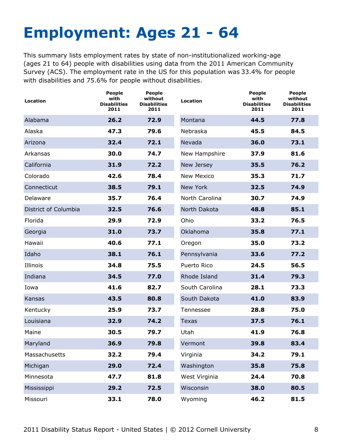# <span id="page-8-0"></span>**Employment: Ages 21 - 64**

This summary lists employment rates by state of non-institutionalized working-age (ages 21 to 64) people with disabilities using data from the 2011 American Community Survey (ACS). The employment rate in the US for this population was 33.4% for people with disabilities and 75.6% for people without disabilities.

| Location             | <b>People</b><br>with<br><b>Disabilities</b><br>2011 | <b>People</b><br>without<br><b>Disabilities</b><br>2011 | <b>Location</b>   | People<br>with<br><b>Disabilities</b><br>2011 | <b>People</b><br>without<br><b>Disabilities</b><br>2011 |
|----------------------|------------------------------------------------------|---------------------------------------------------------|-------------------|-----------------------------------------------|---------------------------------------------------------|
| Alabama              | 26.2                                                 | 72.9                                                    | Montana           | 44.5                                          | 77.8                                                    |
| Alaska               | 47.3                                                 | 79.6                                                    | Nebraska          | 45.5                                          | 84.5                                                    |
| Arizona              | 32.4                                                 | 72.1                                                    | Nevada            | 36.0                                          | 73.1                                                    |
| Arkansas             | 30.0                                                 | 74.7                                                    | New Hampshire     | 37.9                                          | 81.6                                                    |
| California           | 31.9                                                 | 72.2                                                    | New Jersey        | 35.5                                          | 76.2                                                    |
| Colorado             | 42.6                                                 | 78.4                                                    | <b>New Mexico</b> | 35.3                                          | 71.7                                                    |
| Connecticut          | 38.5                                                 | 79.1                                                    | New York          | 32.5                                          | 74.9                                                    |
| Delaware             | 35.7                                                 | 76.4                                                    | North Carolina    | 30.7                                          | 74.9                                                    |
| District of Columbia | 32.5                                                 | 76.6                                                    | North Dakota      | 48.8                                          | 85.1                                                    |
| Florida              | 29.9                                                 | 72.9                                                    | Ohio              | 33.2                                          | 76.5                                                    |
| Georgia              | 31.0                                                 | 73.7                                                    | Oklahoma          | 35.8                                          | 77.1                                                    |
| Hawaii               | 40.6                                                 | 77.1                                                    | Oregon            | 35.0                                          | 73.2                                                    |
| Idaho                | 38.1                                                 | 76.1                                                    | Pennsylvania      | 33.6                                          | 77.2                                                    |
| Illinois             | 34.8                                                 | 75.5                                                    | Puerto Rico       | 24.5                                          | 56.5                                                    |
| Indiana              | 34.5                                                 | 77.0                                                    | Rhode Island      | 31.4                                          | 79.3                                                    |
| Iowa                 | 41.6                                                 | 82.7                                                    | South Carolina    | 28.1                                          | 73.3                                                    |
| Kansas               | 43.5                                                 | 80.8                                                    | South Dakota      | 41.0                                          | 83.9                                                    |
| Kentucky             | 25.9                                                 | 73.7                                                    | Tennessee         | 28.8                                          | 75.0                                                    |
| Louisiana            | 32.9                                                 | 74.2                                                    | <b>Texas</b>      | 37.5                                          | 76.1                                                    |
| Maine                | 30.5                                                 | 79.7                                                    | Utah              | 41.9                                          | 76.8                                                    |
| Maryland             | 36.9                                                 | 79.8                                                    | Vermont           | 39.8                                          | 83.4                                                    |
| Massachusetts        | 32.2                                                 | 79.4                                                    | Virginia          | 34.2                                          | 79.1                                                    |
| Michigan             | 29.0                                                 | 72.4                                                    | Washington        | 35.8                                          | 75.8                                                    |
| Minnesota            | 47.7                                                 | 81.8                                                    | West Virginia     | 24.4                                          | 70.8                                                    |
| Mississippi          | 29.2                                                 | 72.5                                                    | Wisconsin         | 38.0                                          | 80.5                                                    |
| Missouri             | 33.1                                                 | 78.0                                                    | Wyoming           | 46.2                                          | 81.5                                                    |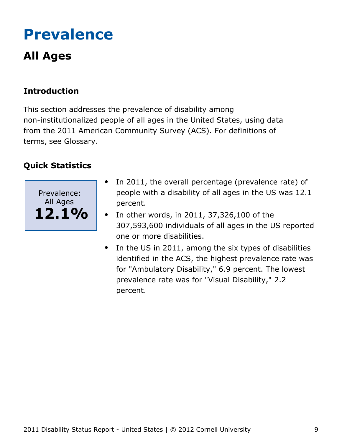## <span id="page-9-0"></span>**Prevalence**

## **All Ages**

## **Introduction**

This section addresses the prevalence of disability among non-institutionalized people of all ages in the United States, using data from the 2011 American Community Survey (ACS). For definitions of terms, see Glossary.



- In 2011, the overall percentage (prevalence rate) of  $\bullet$ people with a disability of all ages in the US was 12.1 percent.
- In other words, in 2011, 37,326,100 of the  $\bullet$ 307,593,600 individuals of all ages in the US reported one or more disabilities.
- In the US in 2011, among the six types of disabilities identified in the ACS, the highest prevalence rate was for "Ambulatory Disability," 6.9 percent. The lowest prevalence rate was for "Visual Disability," 2.2 percent.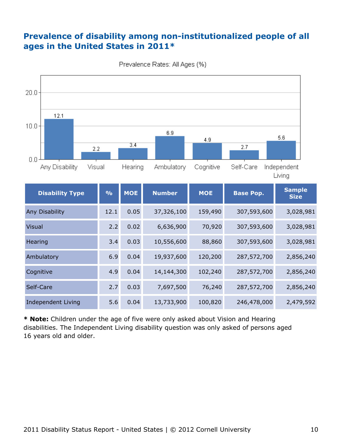### **Prevalence of disability among non-institutionalized people of all ages in the United States in 2011\***



Prevalence Rates: All Ages (%)

**\* Note:** Children under the age of five were only asked about Vision and Hearing disabilities. The Independent Living disability question was only asked of persons aged 16 years old and older.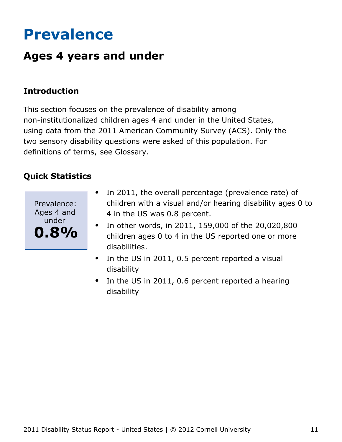## <span id="page-11-0"></span>**Prevalence**

## **Ages 4 years and under**

### **Introduction**

This section focuses on the prevalence of disability among non-institutionalized children ages 4 and under in the United States, using data from the 2011 American Community Survey (ACS). Only the two sensory disability questions were asked of this population. For definitions of terms, see Glossary.



- In 2011, the overall percentage (prevalence rate) of  $\bullet$ children with a visual and/or hearing disability ages 0 to 4 in the US was 0.8 percent.
- In other words, in 2011, 159,000 of the 20,020,800 children ages 0 to 4 in the US reported one or more disabilities.
- $\bullet$ In the US in 2011, 0.5 percent reported a visual disability
- In the US in 2011, 0.6 percent reported a hearing disability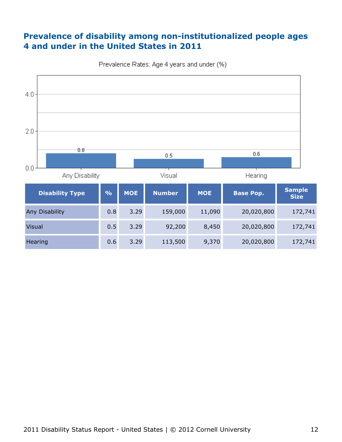### **Prevalence of disability among non-institutionalized people ages 4 and under in the United States in 2011**



Prevalence Rates: Age 4 years and under (%)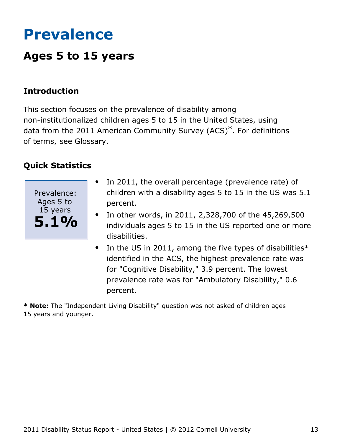## <span id="page-13-0"></span>**Prevalence**

## **Ages 5 to 15 years**

### **Introduction**

This section focuses on the prevalence of disability among non-institutionalized children ages 5 to 15 in the United States, using data from the 2011 American Community Survey (ACS)\*. For definitions of terms, see Glossary.

### **Quick Statistics**



- In 2011, the overall percentage (prevalence rate) of  $\bullet$ children with a disability ages 5 to 15 in the US was 5.1 percent.
- In other words, in 2011, 2,328,700 of the 45,269,500 individuals ages 5 to 15 in the US reported one or more disabilities.
- $\bullet$ In the US in 2011, among the five types of disabilities\* identified in the ACS, the highest prevalence rate was for "Cognitive Disability," 3.9 percent. The lowest prevalence rate was for "Ambulatory Disability," 0.6 percent.

**\* Note:** The "Independent Living Disability" question was not asked of children ages 15 years and younger.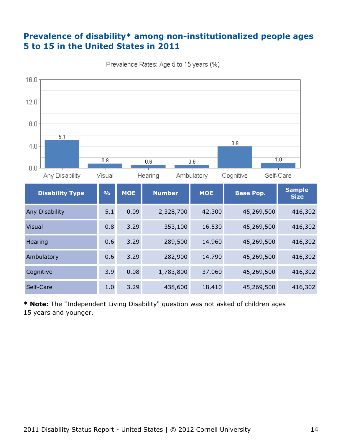#### **Prevalence of disability\* among non-institutionalized people ages 5 to 15 in the United States in 2011**



Prevalence Rates: Age 5 to 15 years (%)

**\* Note:** The "Independent Living Disability" question was not asked of children ages 15 years and younger.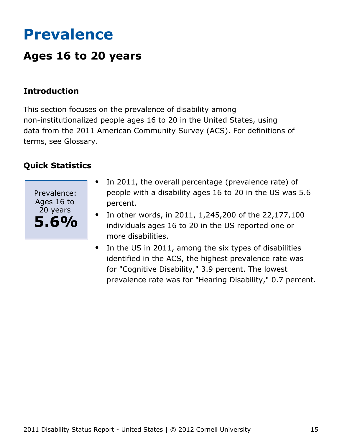## <span id="page-15-0"></span>**Prevalence**

## **Ages 16 to 20 years**

### **Introduction**

This section focuses on the prevalence of disability among non-institutionalized people ages 16 to 20 in the United States, using data from the 2011 American Community Survey (ACS). For definitions of terms, see Glossary.



- In 2011, the overall percentage (prevalence rate) of  $\bullet$ people with a disability ages 16 to 20 in the US was 5.6 percent.
- In other words, in 2011, 1,245,200 of the 22,177,100  $\bullet$ individuals ages 16 to 20 in the US reported one or more disabilities.
- In the US in 2011, among the six types of disabilities  $\bullet$ identified in the ACS, the highest prevalence rate was for "Cognitive Disability," 3.9 percent. The lowest prevalence rate was for "Hearing Disability," 0.7 percent.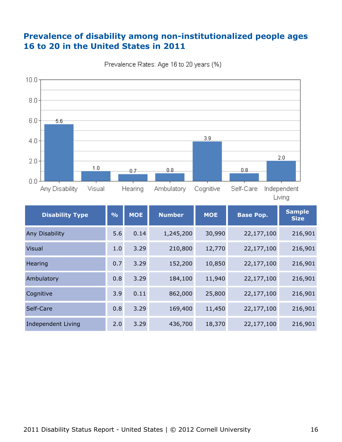### **Prevalence of disability among non-institutionalized people ages 16 to 20 in the United States in 2011**





Living

| <b>Disability Type</b>    | $\frac{0}{0}$ | <b>MOE</b> | <b>Number</b> | <b>MOE</b> | <b>Base Pop.</b> | <b>Sample</b><br><b>Size</b> |
|---------------------------|---------------|------------|---------------|------------|------------------|------------------------------|
| Any Disability            | 5.6           | 0.14       | 1,245,200     | 30,990     | 22,177,100       | 216,901                      |
| <b>Visual</b>             | 1.0           | 3.29       | 210,800       | 12,770     | 22,177,100       | 216,901                      |
| Hearing                   | 0.7           | 3.29       | 152,200       | 10,850     | 22,177,100       | 216,901                      |
| Ambulatory                | 0.8           | 3.29       | 184,100       | 11,940     | 22,177,100       | 216,901                      |
| Cognitive                 | 3.9           | 0.11       | 862,000       | 25,800     | 22,177,100       | 216,901                      |
| Self-Care                 | 0.8           | 3.29       | 169,400       | 11,450     | 22,177,100       | 216,901                      |
| <b>Independent Living</b> | 2.0           | 3.29       | 436,700       | 18,370     | 22,177,100       | 216,901                      |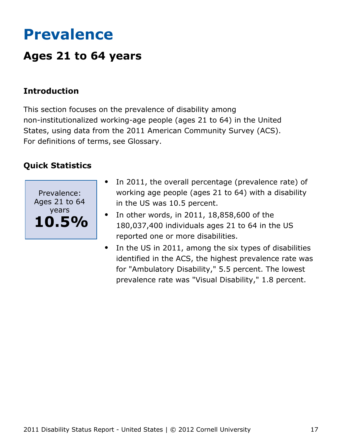## <span id="page-17-0"></span>**Prevalence**

## **Ages 21 to 64 years**

### **Introduction**

This section focuses on the prevalence of disability among non-institutionalized working-age people (ages 21 to 64) in the United States, using data from the 2011 American Community Survey (ACS). For definitions of terms, see Glossary.



- In 2011, the overall percentage (prevalence rate) of  $\bullet$ working age people (ages 21 to 64) with a disability in the US was 10.5 percent.
- In other words, in 2011, 18,858,600 of the  $\bullet$ 180,037,400 individuals ages 21 to 64 in the US reported one or more disabilities.
- In the US in 2011, among the six types of disabilities identified in the ACS, the highest prevalence rate was for "Ambulatory Disability," 5.5 percent. The lowest prevalence rate was "Visual Disability," 1.8 percent.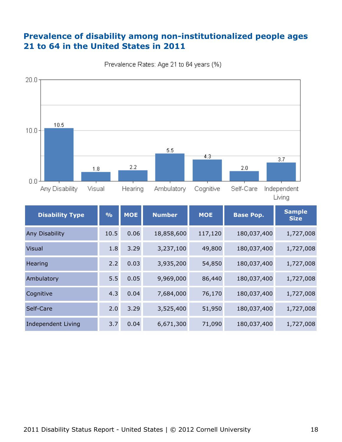### **Prevalence of disability among non-institutionalized people ages 21 to 64 in the United States in 2011**





Living

| <b>Disability Type</b> | $\frac{0}{0}$ | <b>MOE</b> | <b>Number</b> | <b>MOE</b> | <b>Base Pop.</b> | <b>Sample</b><br><b>Size</b> |
|------------------------|---------------|------------|---------------|------------|------------------|------------------------------|
| Any Disability         | 10.5          | 0.06       | 18,858,600    | 117,120    | 180,037,400      | 1,727,008                    |
| <b>Visual</b>          | 1.8           | 3.29       | 3,237,100     | 49,800     | 180,037,400      | 1,727,008                    |
| Hearing                | 2.2           | 0.03       | 3,935,200     | 54,850     | 180,037,400      | 1,727,008                    |
| Ambulatory             | 5.5           | 0.05       | 9,969,000     | 86,440     | 180,037,400      | 1,727,008                    |
| Cognitive              | 4.3           | 0.04       | 7,684,000     | 76,170     | 180,037,400      | 1,727,008                    |
| Self-Care              | 2.0           | 3.29       | 3,525,400     | 51,950     | 180,037,400      | 1,727,008                    |
| Independent Living     | 3.7           | 0.04       | 6,671,300     | 71,090     | 180,037,400      | 1,727,008                    |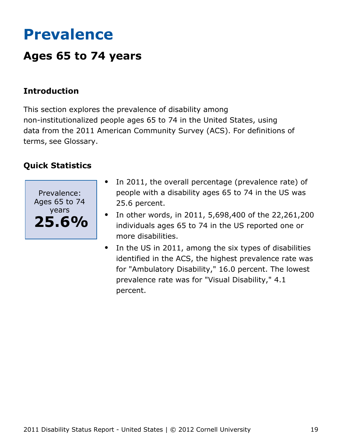## <span id="page-19-0"></span>**Prevalence**

## **Ages 65 to 74 years**

### **Introduction**

This section explores the prevalence of disability among non-institutionalized people ages 65 to 74 in the United States, using data from the 2011 American Community Survey (ACS). For definitions of terms, see Glossary.



- In 2011, the overall percentage (prevalence rate) of people with a disability ages 65 to 74 in the US was 25.6 percent.
- In other words, in 2011, 5,698,400 of the 22,261,200  $\bullet$ individuals ages 65 to 74 in the US reported one or more disabilities.
- $\bullet$ In the US in 2011, among the six types of disabilities identified in the ACS, the highest prevalence rate was for "Ambulatory Disability," 16.0 percent. The lowest prevalence rate was for "Visual Disability," 4.1 percent.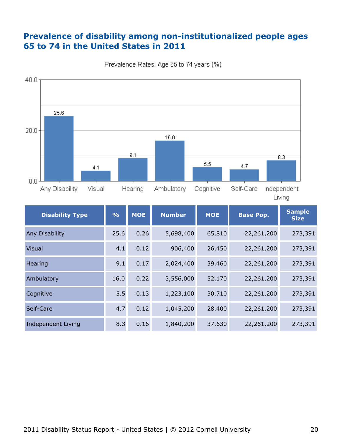### **Prevalence of disability among non-institutionalized people ages 65 to 74 in the United States in 2011**





Living

| <b>Disability Type</b>    | $\frac{9}{6}$ | <b>MOE</b> | <b>Number</b> | <b>MOE</b> | <b>Base Pop.</b> | <b>Sample</b><br><b>Size</b> |
|---------------------------|---------------|------------|---------------|------------|------------------|------------------------------|
| Any Disability            | 25.6          | 0.26       | 5,698,400     | 65,810     | 22,261,200       | 273,391                      |
| <b>Visual</b>             | 4.1           | 0.12       | 906,400       | 26,450     | 22,261,200       | 273,391                      |
| Hearing                   | 9.1           | 0.17       | 2,024,400     | 39,460     | 22,261,200       | 273,391                      |
| Ambulatory                | 16.0          | 0.22       | 3,556,000     | 52,170     | 22,261,200       | 273,391                      |
| Cognitive                 | 5.5           | 0.13       | 1,223,100     | 30,710     | 22,261,200       | 273,391                      |
| Self-Care                 | 4.7           | 0.12       | 1,045,200     | 28,400     | 22,261,200       | 273,391                      |
| <b>Independent Living</b> | 8.3           | 0.16       | 1,840,200     | 37,630     | 22,261,200       | 273,391                      |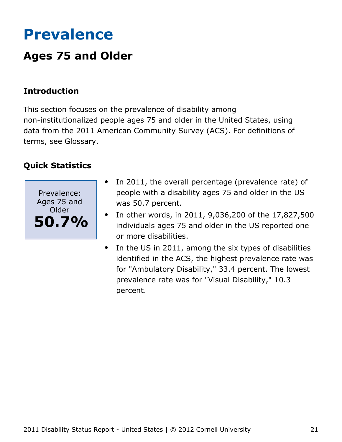## <span id="page-21-0"></span>**Prevalence**

## **Ages 75 and Older**

## **Introduction**

This section focuses on the prevalence of disability among non-institutionalized people ages 75 and older in the United States, using data from the 2011 American Community Survey (ACS). For definitions of terms, see Glossary.



- In 2011, the overall percentage (prevalence rate) of people with a disability ages 75 and older in the US was 50.7 percent.
- In other words, in 2011, 9,036,200 of the 17,827,500 individuals ages 75 and older in the US reported one or more disabilities.
- In the US in 2011, among the six types of disabilities  $\bullet$ identified in the ACS, the highest prevalence rate was for "Ambulatory Disability," 33.4 percent. The lowest prevalence rate was for "Visual Disability," 10.3 percent.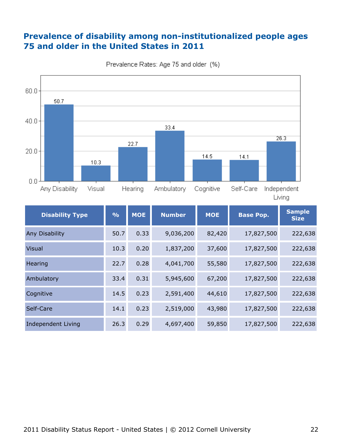### **Prevalence of disability among non-institutionalized people ages 75 and older in the United States in 2011**



Prevalence Rates: Age 75 and older (%)

| <b>Disability Type</b> | $\frac{9}{6}$ | <b>MOE</b> | <b>Number</b> | <b>MOE</b> | <b>Base Pop.</b> | <b>Sample</b><br><b>Size</b> |
|------------------------|---------------|------------|---------------|------------|------------------|------------------------------|
| Any Disability         | 50.7          | 0.33       | 9,036,200     | 82,420     | 17,827,500       | 222,638                      |
| <b>Visual</b>          | 10.3          | 0.20       | 1,837,200     | 37,600     | 17,827,500       | 222,638                      |
| Hearing                | 22.7          | 0.28       | 4,041,700     | 55,580     | 17,827,500       | 222,638                      |
| Ambulatory             | 33.4          | 0.31       | 5,945,600     | 67,200     | 17,827,500       | 222,638                      |
| Cognitive              | 14.5          | 0.23       | 2,591,400     | 44,610     | 17,827,500       | 222,638                      |
| Self-Care              | 14.1          | 0.23       | 2,519,000     | 43,980     | 17,827,500       | 222,638                      |
| Independent Living     | 26.3          | 0.29       | 4,697,400     | 59,850     | 17,827,500       | 222,638                      |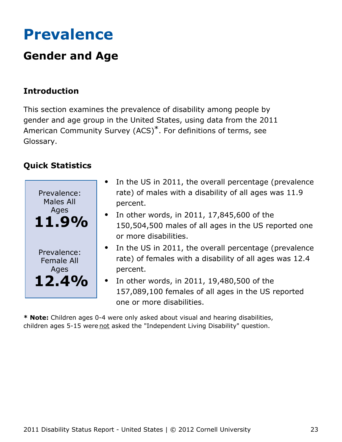## <span id="page-23-0"></span>**Prevalence**

## **Gender and Age**

## **Introduction**

This section examines the prevalence of disability among people by gender and age group in the United States, using data from the 2011 American Community Survey (ACS)\*. For definitions of terms, see Glossary.

## **Quick Statistics**



- In the US in 2011, the overall percentage (prevalence  $\bullet$ rate) of males with a disability of all ages was 11.9 percent.
- $\bullet$  In other words, in 2011, 17,845,600 of the 150,504,500 males of all ages in the US reported one or more disabilities.
- In the US in 2011, the overall percentage (prevalence rate) of females with a disability of all ages was 12.4 percent.
- In other words, in 2011, 19,480,500 of the  $\bullet$ 157,089,100 females of all ages in the US reported one or more disabilities.

**\* Note:** Children ages 0-4 were only asked about visual and hearing disabilities, children ages 5-15 were not asked the "Independent Living Disability" question.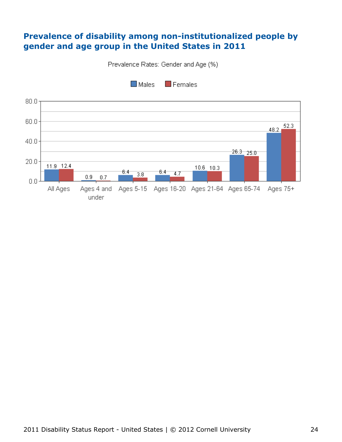#### **Prevalence of disability among non-institutionalized people by gender and age group in the United States in 2011**

Prevalence Rates: Gender and Age (%)

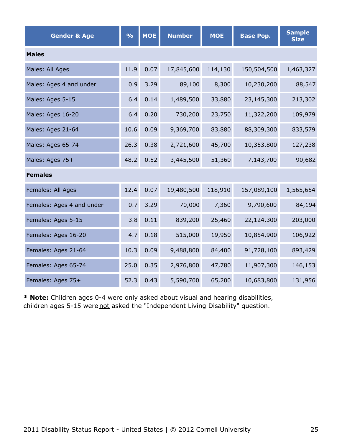| <b>Gender &amp; Age</b>   | $\frac{0}{0}$ | <b>MOE</b> | <b>Number</b> | <b>MOE</b> | <b>Base Pop.</b> | <b>Sample</b><br><b>Size</b> |  |  |  |
|---------------------------|---------------|------------|---------------|------------|------------------|------------------------------|--|--|--|
| <b>Males</b>              |               |            |               |            |                  |                              |  |  |  |
| Males: All Ages           | 11.9          | 0.07       | 17,845,600    | 114,130    | 150,504,500      | 1,463,327                    |  |  |  |
| Males: Ages 4 and under   | 0.9           | 3.29       | 89,100        | 8,300      | 10,230,200       | 88,547                       |  |  |  |
| Males: Ages 5-15          | 6.4           | 0.14       | 1,489,500     | 33,880     | 23,145,300       | 213,302                      |  |  |  |
| Males: Ages 16-20         | 6.4           | 0.20       | 730,200       | 23,750     | 11,322,200       | 109,979                      |  |  |  |
| Males: Ages 21-64         | 10.6          | 0.09       | 9,369,700     | 83,880     | 88,309,300       | 833,579                      |  |  |  |
| Males: Ages 65-74         | 26.3          | 0.38       | 2,721,600     | 45,700     | 10,353,800       | 127,238                      |  |  |  |
| Males: Ages 75+           | 48.2          | 0.52       | 3,445,500     | 51,360     | 7,143,700        | 90,682                       |  |  |  |
| <b>Females</b>            |               |            |               |            |                  |                              |  |  |  |
| Females: All Ages         | 12.4          | 0.07       | 19,480,500    | 118,910    | 157,089,100      | 1,565,654                    |  |  |  |
| Females: Ages 4 and under | 0.7           | 3.29       | 70,000        | 7,360      | 9,790,600        | 84,194                       |  |  |  |
| Females: Ages 5-15        | 3.8           | 0.11       | 839,200       | 25,460     | 22,124,300       | 203,000                      |  |  |  |
| Females: Ages 16-20       | 4.7           | 0.18       | 515,000       | 19,950     | 10,854,900       | 106,922                      |  |  |  |
| Females: Ages 21-64       | 10.3          | 0.09       | 9,488,800     | 84,400     | 91,728,100       | 893,429                      |  |  |  |
| Females: Ages 65-74       | 25.0          | 0.35       | 2,976,800     | 47,780     | 11,907,300       | 146,153                      |  |  |  |
| Females: Ages 75+         | 52.3          | 0.43       | 5,590,700     | 65,200     | 10,683,800       | 131,956                      |  |  |  |

**\* Note:** Children ages 0-4 were only asked about visual and hearing disabilities, children ages 5-15 were not asked the "Independent Living Disability" question.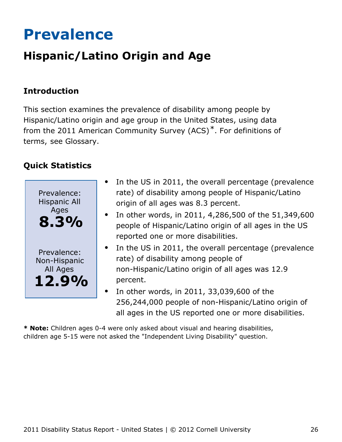## <span id="page-26-0"></span>**Prevalence**

## **Hispanic/Latino Origin and Age**

### **Introduction**

This section examines the prevalence of disability among people by Hispanic/Latino origin and age group in the United States, using data from the 2011 American Community Survey (ACS)\*. For definitions of terms, see Glossary.

## **Quick Statistics**



- In the US in 2011, the overall percentage (prevalence rate) of disability among people of Hispanic/Latino origin of all ages was 8.3 percent.
- In other words, in 2011, 4,286,500 of the 51,349,600 people of Hispanic/Latino origin of all ages in the US reported one or more disabilities.
- In the US in 2011, the overall percentage (prevalence rate) of disability among people of non-Hispanic/Latino origin of all ages was 12.9 percent.
- In other words, in 2011, 33,039,600 of the 256,244,000 people of non-Hispanic/Latino origin of all ages in the US reported one or more disabilities.

**\* Note:** Children ages 0-4 were only asked about visual and hearing disabilities, children age 5-15 were not asked the "Independent Living Disability" question.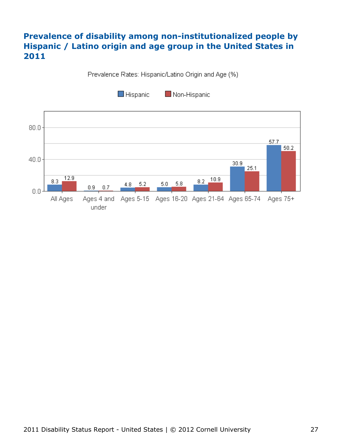### **Prevalence of disability among non-institutionalized people by Hispanic / Latino origin and age group in the United States in 2011**

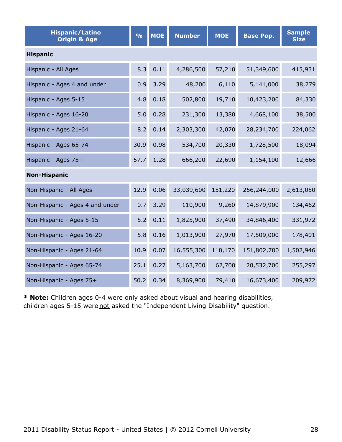| <b>Hispanic/Latino</b><br><b>Origin &amp; Age</b> | $\frac{9}{6}$ | <b>MOE</b> | <b>Number</b> | <b>MOE</b> | <b>Base Pop.</b> | <b>Sample</b><br><b>Size</b> |
|---------------------------------------------------|---------------|------------|---------------|------------|------------------|------------------------------|
| <b>Hispanic</b>                                   |               |            |               |            |                  |                              |
| Hispanic - All Ages                               | 8.3           | 0.11       | 4,286,500     | 57,210     | 51,349,600       | 415,931                      |
| Hispanic - Ages 4 and under                       | 0.9           | 3.29       | 48,200        | 6,110      | 5,141,000        | 38,279                       |
| Hispanic - Ages 5-15                              | 4.8           | 0.18       | 502,800       | 19,710     | 10,423,200       | 84,330                       |
| Hispanic - Ages 16-20                             | 5.0           | 0.28       | 231,300       | 13,380     | 4,668,100        | 38,500                       |
| Hispanic - Ages 21-64                             | 8.2           | 0.14       | 2,303,300     | 42,070     | 28,234,700       | 224,062                      |
| Hispanic - Ages 65-74                             | 30.9          | 0.98       | 534,700       | 20,330     | 1,728,500        | 18,094                       |
| Hispanic - Ages 75+                               | 57.7          | 1.28       | 666,200       | 22,690     | 1,154,100        | 12,666                       |
| <b>Non-Hispanic</b>                               |               |            |               |            |                  |                              |
| Non-Hispanic - All Ages                           | 12.9          | 0.06       | 33,039,600    | 151,220    | 256,244,000      | 2,613,050                    |
| Non-Hispanic - Ages 4 and under                   | 0.7           | 3.29       | 110,900       | 9,260      | 14,879,900       | 134,462                      |
| Non-Hispanic - Ages 5-15                          | 5.2           | 0.11       | 1,825,900     | 37,490     | 34,846,400       | 331,972                      |
| Non-Hispanic - Ages 16-20                         | 5.8           | 0.16       | 1,013,900     | 27,970     | 17,509,000       | 178,401                      |
| Non-Hispanic - Ages 21-64                         | 10.9          | 0.07       | 16,555,300    | 110,170    | 151,802,700      | 1,502,946                    |
| Non-Hispanic - Ages 65-74                         | 25.1          | 0.27       | 5,163,700     | 62,700     | 20,532,700       | 255,297                      |
| Non-Hispanic - Ages 75+                           | 50.2          | 0.34       | 8,369,900     | 79,410     | 16,673,400       | 209,972                      |

**\* Note:** Children ages 0-4 were only asked about visual and hearing disabilities, children ages 5-15 were not asked the "Independent Living Disability" question.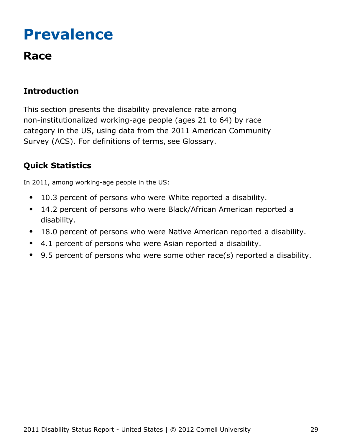## <span id="page-29-0"></span>**Prevalence**

## **Race**

## **Introduction**

This section presents the disability prevalence rate among non-institutionalized working-age people (ages 21 to 64) by race category in the US, using data from the 2011 American Community Survey (ACS). For definitions of terms, see Glossary.

## **Quick Statistics**

In 2011, among working-age people in the US:

- 10.3 percent of persons who were White reported a disability.  $\bullet$
- 14.2 percent of persons who were Black/African American reported a  $\bullet$ disability.
- 18.0 percent of persons who were Native American reported a disability.  $\bullet$
- 4.1 percent of persons who were Asian reported a disability.
- 9.5 percent of persons who were some other race(s) reported a disability.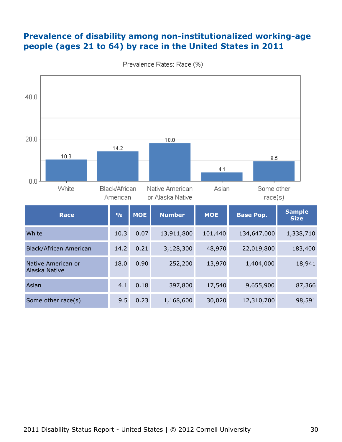### **Prevalence of disability among non-institutionalized working-age people (ages 21 to 64) by race in the United States in 2011**

| 40.0<br>20.0 |                                     | 14.2                      |            | 18.0                              |              |                             |                              |
|--------------|-------------------------------------|---------------------------|------------|-----------------------------------|--------------|-----------------------------|------------------------------|
| 0.0          | 10.3<br>White                       | Black/African             |            | Native American                   | 4.1<br>Asian | 9.5<br>Some other           |                              |
|              | <b>Race</b>                         | American<br>$\frac{9}{6}$ | <b>MOE</b> | or Alaska Native<br><b>Number</b> | <b>MOE</b>   | race(s)<br><b>Base Pop.</b> | <b>Sample</b><br><b>Size</b> |
| White        |                                     | 10.3                      | 0.07       | 13,911,800                        | 101,440      | 134,647,000                 | 1,338,710                    |
|              | Black/African American              | 14.2                      | 0.21       | 3,128,300                         | 48,970       | 22,019,800                  | 183,400                      |
|              | Native American or<br>Alaska Native | 18.0                      | 0.90       | 252,200                           | 13,970       | 1,404,000                   | 18,941                       |
| Asian        |                                     | 4.1                       | 0.18       | 397,800                           | 17,540       | 9,655,900                   | 87,366                       |
|              | Some other race(s)                  | 9.5                       | 0.23       | 1,168,600                         | 30,020       | 12,310,700                  | 98,591                       |

Prevalence Rates: Race (%)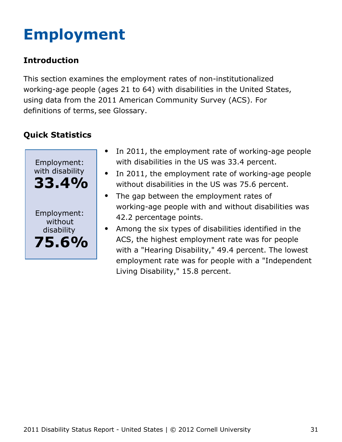# <span id="page-31-0"></span>**Employment**

## **Introduction**

This section examines the employment rates of non-institutionalized working-age people (ages 21 to 64) with disabilities in the United States, using data from the 2011 American Community Survey (ACS). For definitions of terms, see Glossary.



- $\bullet$ In 2011, the employment rate of working-age people with disabilities in the US was 33.4 percent.
- In 2011, the employment rate of working-age people  $\bullet$ without disabilities in the US was 75.6 percent.
- The gap between the employment rates of  $\bullet$ working-age people with and without disabilities was 42.2 percentage points.
- Among the six types of disabilities identified in the ACS, the highest employment rate was for people with a "Hearing Disability," 49.4 percent. The lowest employment rate was for people with a "Independent Living Disability," 15.8 percent.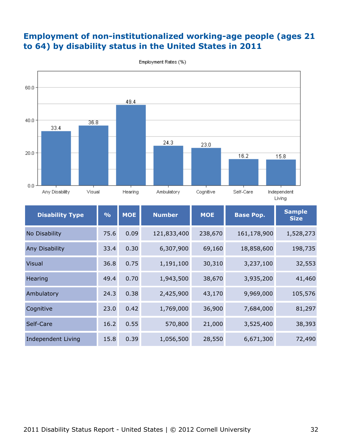### **Employment of non-institutionalized working-age people (ages 21 to 64) by disability status in the United States in 2011**



Employment Rates (%)

| <b>Disability Type</b> | $\frac{9}{6}$ | <b>MOE</b> | <b>Number</b> | <b>MOE</b> | <b>Base Pop.</b> | <b>Sample</b><br><b>Size</b> |
|------------------------|---------------|------------|---------------|------------|------------------|------------------------------|
| No Disability          | 75.6          | 0.09       | 121,833,400   | 238,670    | 161,178,900      | 1,528,273                    |
| <b>Any Disability</b>  | 33.4          | 0.30       | 6,307,900     | 69,160     | 18,858,600       | 198,735                      |
| <b>Visual</b>          | 36.8          | 0.75       | 1,191,100     | 30,310     | 3,237,100        | 32,553                       |
| Hearing                | 49.4          | 0.70       | 1,943,500     | 38,670     | 3,935,200        | 41,460                       |
| Ambulatory             | 24.3          | 0.38       | 2,425,900     | 43,170     | 9,969,000        | 105,576                      |
| Cognitive              | 23.0          | 0.42       | 1,769,000     | 36,900     | 7,684,000        | 81,297                       |
| Self-Care              | 16.2          | 0.55       | 570,800       | 21,000     | 3,525,400        | 38,393                       |
| Independent Living     | 15.8          | 0.39       | 1,056,500     | 28,550     | 6,671,300        | 72,490                       |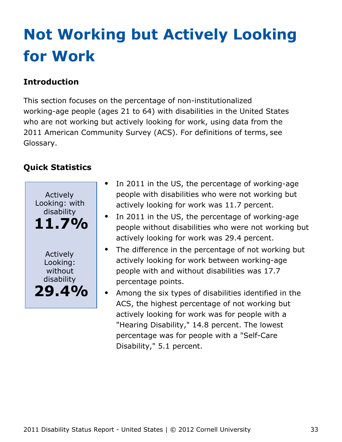# <span id="page-33-0"></span>**Not Working but Actively Looking for Work**

## **Introduction**

This section focuses on the percentage of non-institutionalized working-age people (ages 21 to 64) with disabilities in the United States who are not working but actively looking for work, using data from the 2011 American Community Survey (ACS). For definitions of terms, see Glossary.



- In 2011 in the US, the percentage of working-age people with disabilities who were not working but actively looking for work was 11.7 percent.
- In 2011 in the US, the percentage of working-age people without disabilities who were not working but actively looking for work was 29.4 percent.
- The difference in the percentage of not working but actively looking for work between working-age people with and without disabilities was 17.7 percentage points.
- Among the six types of disabilities identified in the ACS, the highest percentage of not working but actively looking for work was for people with a "Hearing Disability," 14.8 percent. The lowest percentage was for people with a "Self-Care Disability," 5.1 percent.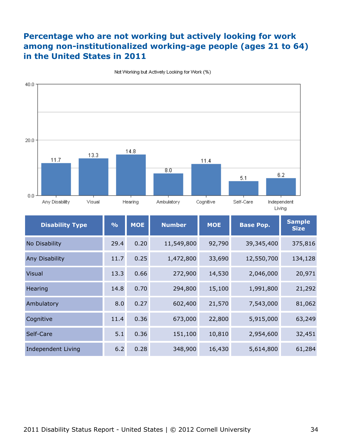### **Percentage who are not working but actively looking for work among non-institutionalized working-age people (ages 21 to 64) in the United States in 2011**



Not Working but Actively Looking for Work (%)

| <b>Disability Type</b> | $\frac{9}{6}$ | <b>MOE</b> | <b>Number</b> | <b>MOE</b> | <b>Base Pop.</b> | <b>Sample</b><br><b>Size</b> |
|------------------------|---------------|------------|---------------|------------|------------------|------------------------------|
| No Disability          | 29.4          | 0.20       | 11,549,800    | 92,790     | 39,345,400       | 375,816                      |
| Any Disability         | 11.7          | 0.25       | 1,472,800     | 33,690     | 12,550,700       | 134,128                      |
| <b>Visual</b>          | 13.3          | 0.66       | 272,900       | 14,530     | 2,046,000        | 20,971                       |
| Hearing                | 14.8          | 0.70       | 294,800       | 15,100     | 1,991,800        | 21,292                       |
| Ambulatory             | 8.0           | 0.27       | 602,400       | 21,570     | 7,543,000        | 81,062                       |
| Cognitive              | 11.4          | 0.36       | 673,000       | 22,800     | 5,915,000        | 63,249                       |
| Self-Care              | 5.1           | 0.36       | 151,100       | 10,810     | 2,954,600        | 32,451                       |
| Independent Living     | 6.2           | 0.28       | 348,900       | 16,430     | 5,614,800        | 61,284                       |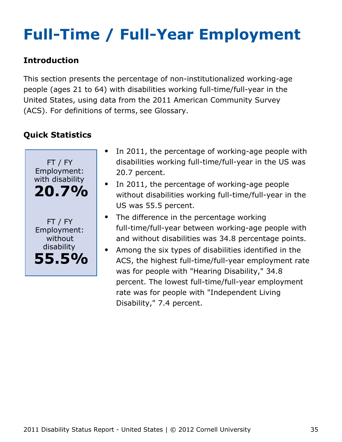# <span id="page-35-0"></span>**Full-Time / Full-Year Employment**

### **Introduction**

This section presents the percentage of non-institutionalized working-age people (ages 21 to 64) with disabilities working full-time/full-year in the United States, using data from the 2011 American Community Survey (ACS). For definitions of terms, see Glossary.



- In 2011, the percentage of working-age people with disabilities working full-time/full-year in the US was 20.7 percent.
- In 2011, the percentage of working-age people without disabilities working full-time/full-year in the US was 55.5 percent.
- The difference in the percentage working full-time/full-year between working-age people with and without disabilities was 34.8 percentage points.
- Among the six types of disabilities identified in the  $\bullet$ ACS, the highest full-time/full-year employment rate was for people with "Hearing Disability," 34.8 percent. The lowest full-time/full-year employment rate was for people with "Independent Living Disability," 7.4 percent.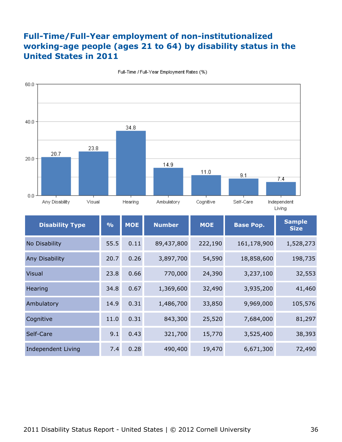### **Full-Time/Full-Year employment of non-institutionalized working-age people (ages 21 to 64) by disability status in the United States in 2011**



Full-Time / Full-Year Employment Rates (%)

| <b>Disability Type</b> | $\frac{0}{0}$ | <b>MOE</b> | <b>Number</b> | <b>MOE</b> | <b>Base Pop.</b> | <b>Sample</b><br><b>Size</b> |
|------------------------|---------------|------------|---------------|------------|------------------|------------------------------|
| No Disability          | 55.5          | 0.11       | 89,437,800    | 222,190    | 161,178,900      | 1,528,273                    |
| Any Disability         | 20.7          | 0.26       | 3,897,700     | 54,590     | 18,858,600       | 198,735                      |
| <b>Visual</b>          | 23.8          | 0.66       | 770,000       | 24,390     | 3,237,100        | 32,553                       |
| Hearing                | 34.8          | 0.67       | 1,369,600     | 32,490     | 3,935,200        | 41,460                       |
| Ambulatory             | 14.9          | 0.31       | 1,486,700     | 33,850     | 9,969,000        | 105,576                      |
| Cognitive              | 11.0          | 0.31       | 843,300       | 25,520     | 7,684,000        | 81,297                       |
| Self-Care              | 9.1           | 0.43       | 321,700       | 15,770     | 3,525,400        | 38,393                       |
| Independent Living     | 7.4           | 0.28       | 490,400       | 19,470     | 6,671,300        | 72,490                       |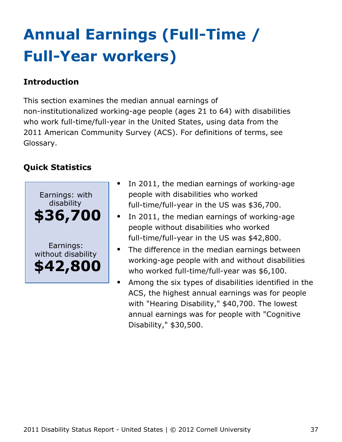# <span id="page-37-0"></span>**Annual Earnings (Full-Time / Full-Year workers)**

### **Introduction**

This section examines the median annual earnings of non-institutionalized working-age people (ages 21 to 64) with disabilities who work full-time/full-year in the United States, using data from the 2011 American Community Survey (ACS). For definitions of terms, see Glossary.



- In 2011, the median earnings of working-age people with disabilities who worked full-time/full-year in the US was \$36,700.
- In 2011, the median earnings of working-age people without disabilities who worked full-time/full-year in the US was \$42,800.
- The difference in the median earnings between working-age people with and without disabilities who worked full-time/full-year was \$6,100.
- Among the six types of disabilities identified in the ACS, the highest annual earnings was for people with "Hearing Disability," \$40,700. The lowest annual earnings was for people with "Cognitive Disability," \$30,500.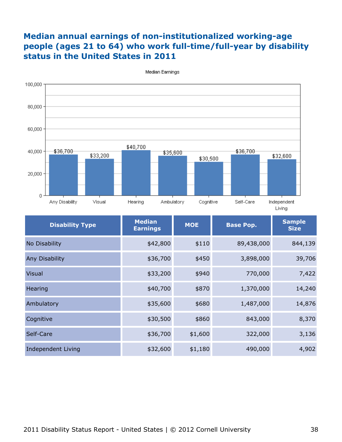### **Median annual earnings of non-institutionalized working-age people (ages 21 to 64) who work full-time/full-year by disability status in the United States in 2011**



Median Earnings

| <b>Disability Type</b> | <b>Median</b><br><b>Earnings</b> | <b>MOE</b> | <b>Base Pop.</b> | <b>Sample</b><br><b>Size</b> |
|------------------------|----------------------------------|------------|------------------|------------------------------|
| No Disability          | \$42,800                         | \$110      | 89,438,000       | 844,139                      |
| Any Disability         | \$36,700                         | \$450      | 3,898,000        | 39,706                       |
| <b>Visual</b>          | \$33,200                         | \$940      | 770,000          | 7,422                        |
| Hearing                | \$40,700                         | \$870      | 1,370,000        | 14,240                       |
| Ambulatory             | \$35,600                         | \$680      | 1,487,000        | 14,876                       |
| Cognitive              | \$30,500                         | \$860      | 843,000          | 8,370                        |
| Self-Care              | \$36,700                         | \$1,600    | 322,000          | 3,136                        |
| Independent Living     | \$32,600                         | \$1,180    | 490,000          | 4,902                        |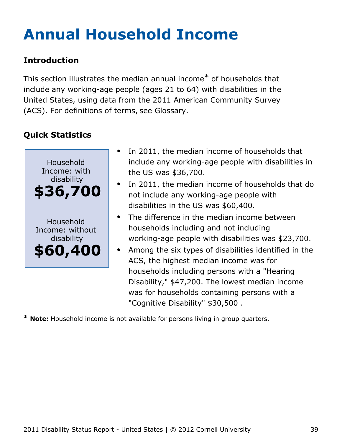# <span id="page-39-0"></span>**Annual Household Income**

## **Introduction**

This section illustrates the median annual income\* of households that include any working-age people (ages 21 to 64) with disabilities in the United States, using data from the 2011 American Community Survey (ACS). For definitions of terms, see Glossary.

## **Quick Statistics**



- In 2011, the median income of households that include any working-age people with disabilities in the US was \$36,700.
- In 2011, the median income of households that do not include any working-age people with disabilities in the US was \$60,400.
- The difference in the median income between households including and not including working-age people with disabilities was \$23,700.
- Among the six types of disabilities identified in the ACS, the highest median income was for households including persons with a "Hearing Disability," \$47,200. The lowest median income was for households containing persons with a "Cognitive Disability" \$30,500 .

**\* Note:** Household income is not available for persons living in group quarters.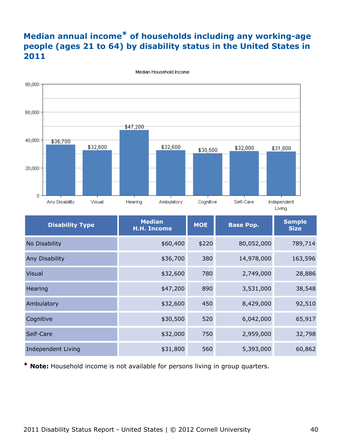## **Median annual income\* of households including any working-age people (ages 21 to 64) by disability status in the United States in 2011**



Median Household Income

| <b>Disability Type</b> | <b>Median</b><br><b>H.H. Income</b> | <b>MOE</b> | <b>Base Pop.</b> | <b>Sample</b><br><b>Size</b> |
|------------------------|-------------------------------------|------------|------------------|------------------------------|
| No Disability          | \$60,400                            | \$220      | 80,052,000       | 789,714                      |
| Any Disability         | \$36,700                            | 380        | 14,978,000       | 163,596                      |
| <b>Visual</b>          | \$32,600                            | 780        | 2,749,000        | 28,886                       |
| Hearing                | \$47,200                            | 890        | 3,531,000        | 38,548                       |
| Ambulatory             | \$32,600                            | 450        | 8,429,000        | 92,510                       |
| Cognitive              | \$30,500                            | 520        | 6,042,000        | 65,917                       |
| Self-Care              | \$32,000                            | 750        | 2,959,000        | 32,798                       |
| Independent Living     | \$31,800                            | 560        | 5,393,000        | 60,862                       |

**\* Note:** Household income is not available for persons living in group quarters.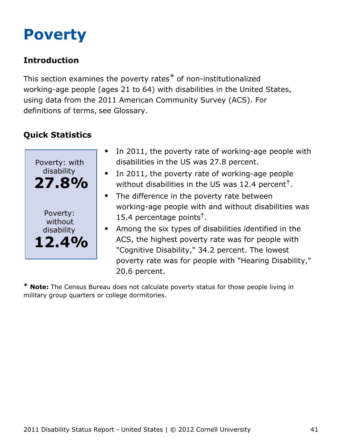## <span id="page-41-0"></span>**Poverty**

## **Introduction**

This section examines the poverty rates\* of non-institutionalized working-age people (ages 21 to 64) with disabilities in the United States, using data from the 2011 American Community Survey (ACS). For definitions of terms, see Glossary.

## **Quick Statistics**



- In 2011, the poverty rate of working-age people with disabilities in the US was 27.8 percent.
- In 2011, the poverty rate of working-age people without disabilities in the US was 12.4 percent<sup>†</sup>.
- The difference in the poverty rate between working-age people with and without disabilities was 15.4 percentage points<sup>†</sup>.
- Among the six types of disabilities identified in the ACS, the highest poverty rate was for people with "Cognitive Disability," 34.2 percent. The lowest poverty rate was for people with "Hearing Disability," 20.6 percent.

**\* Note:** The Census Bureau does not calculate poverty status for those people living in military group quarters or college dormitories.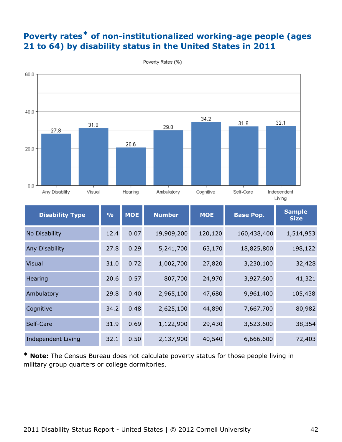## **Poverty rates\* of non-institutionalized working-age people (ages 21 to 64) by disability status in the United States in 2011**



Poverty Rates (%)

| <b>Disability Type</b>    | $\frac{9}{6}$ | <b>MOE</b> | <b>Number</b> | <b>MOE</b> | <b>Base Pop.</b> | <b>Sample</b><br><b>Size</b> |
|---------------------------|---------------|------------|---------------|------------|------------------|------------------------------|
| No Disability             | 12.4          | 0.07       | 19,909,200    | 120,120    | 160,438,400      | 1,514,953                    |
| Any Disability            | 27.8          | 0.29       | 5,241,700     | 63,170     | 18,825,800       | 198,122                      |
| <b>Visual</b>             | 31.0          | 0.72       | 1,002,700     | 27,820     | 3,230,100        | 32,428                       |
| Hearing                   | 20.6          | 0.57       | 807,700       | 24,970     | 3,927,600        | 41,321                       |
| Ambulatory                | 29.8          | 0.40       | 2,965,100     | 47,680     | 9,961,400        | 105,438                      |
| Cognitive                 | 34.2          | 0.48       | 2,625,100     | 44,890     | 7,667,700        | 80,982                       |
| Self-Care                 | 31.9          | 0.69       | 1,122,900     | 29,430     | 3,523,600        | 38,354                       |
| <b>Independent Living</b> | 32.1          | 0.50       | 2,137,900     | 40,540     | 6,666,600        | 72,403                       |

**\* Note:** The Census Bureau does not calculate poverty status for those people living in military group quarters or college dormitories.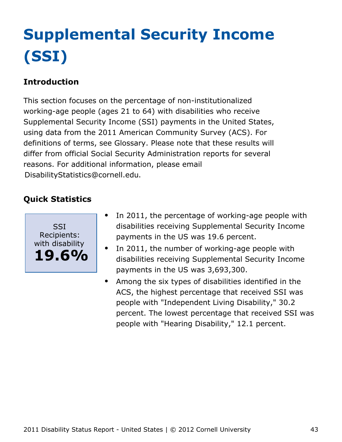# <span id="page-43-0"></span>**Supplemental Security Income (SSI)**

## **Introduction**

This section focuses on the percentage of non-institutionalized working-age people (ages 21 to 64) with disabilities who receive Supplemental Security Income (SSI) payments in the United States, using data from the 2011 American Community Survey (ACS). For definitions of terms, see Glossary. Please note that these results will differ from official Social Security Administration reports for several reasons. For additional information, please email [DisabilityStatistics@cornell.edu](mailto:DisabilityStatistics@cornell.edu).



- In 2011, the percentage of working-age people with  $\bullet$ disabilities receiving Supplemental Security Income payments in the US was 19.6 percent.
- In 2011, the number of working-age people with  $\bullet$ disabilities receiving Supplemental Security Income payments in the US was 3,693,300.
- Among the six types of disabilities identified in the  $\bullet$ ACS, the highest percentage that received SSI was people with "Independent Living Disability," 30.2 percent. The lowest percentage that received SSI was people with "Hearing Disability," 12.1 percent.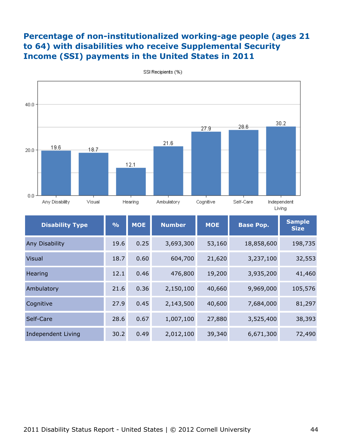#### **Percentage of non-institutionalized working-age people (ages 21 to 64) with disabilities who receive Supplemental Security Income (SSI) payments in the United States in 2011**



SSI Recipients (%)

| <b>Disability Type</b> | $\frac{9}{6}$ | <b>MOE</b> | <b>Number</b> | <b>MOE</b> | <b>Base Pop.</b> | <b>Sample</b><br><b>Size</b> |
|------------------------|---------------|------------|---------------|------------|------------------|------------------------------|
| Any Disability         | 19.6          | 0.25       | 3,693,300     | 53,160     | 18,858,600       | 198,735                      |
| <b>Visual</b>          | 18.7          | 0.60       | 604,700       | 21,620     | 3,237,100        | 32,553                       |
| Hearing                | 12.1          | 0.46       | 476,800       | 19,200     | 3,935,200        | 41,460                       |
| Ambulatory             | 21.6          | 0.36       | 2,150,100     | 40,660     | 9,969,000        | 105,576                      |
| Cognitive              | 27.9          | 0.45       | 2,143,500     | 40,600     | 7,684,000        | 81,297                       |
| Self-Care              | 28.6          | 0.67       | 1,007,100     | 27,880     | 3,525,400        | 38,393                       |
| Independent Living     | 30.2          | 0.49       | 2,012,100     | 39,340     | 6,671,300        | 72,490                       |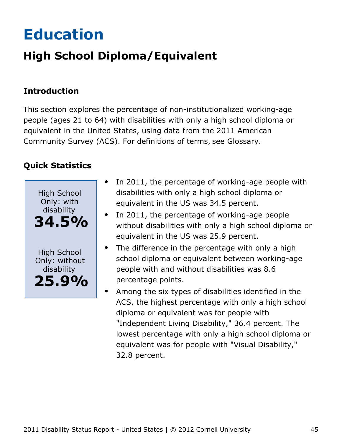# <span id="page-45-0"></span>**Education**

## **High School Diploma/Equivalent**

## **Introduction**

This section explores the percentage of non-institutionalized working-age people (ages 21 to 64) with disabilities with only a high school diploma or equivalent in the United States, using data from the 2011 American Community Survey (ACS). For definitions of terms, see Glossary.



- In 2011, the percentage of working-age people with  $\bullet$ disabilities with only a high school diploma or equivalent in the US was 34.5 percent.
- In 2011, the percentage of working-age people without disabilities with only a high school diploma or equivalent in the US was 25.9 percent.
- The difference in the percentage with only a high school diploma or equivalent between working-age people with and without disabilities was 8.6 percentage points.
- Among the six types of disabilities identified in the ACS, the highest percentage with only a high school diploma or equivalent was for people with "Independent Living Disability," 36.4 percent. The lowest percentage with only a high school diploma or equivalent was for people with "Visual Disability," 32.8 percent.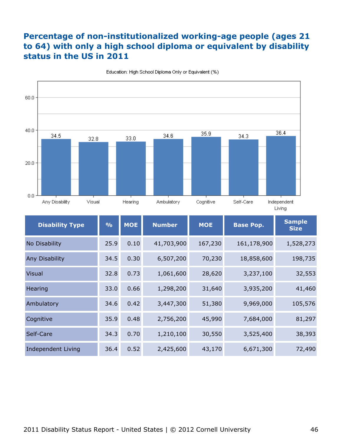### **Percentage of non-institutionalized working-age people (ages 21 to 64) with only a high school diploma or equivalent by disability status in the US in 2011**



Education: High School Diploma Only or Equivalent (%)

| <b>Disability Type</b> | $\frac{0}{0}$ | <b>MOE</b> | <b>Number</b> | <b>MOE</b> | <b>Base Pop.</b> | <b>Sample</b><br><b>Size</b> |
|------------------------|---------------|------------|---------------|------------|------------------|------------------------------|
| No Disability          | 25.9          | 0.10       | 41,703,900    | 167,230    | 161,178,900      | 1,528,273                    |
| Any Disability         | 34.5          | 0.30       | 6,507,200     | 70,230     | 18,858,600       | 198,735                      |
| <b>Visual</b>          | 32.8          | 0.73       | 1,061,600     | 28,620     | 3,237,100        | 32,553                       |
| Hearing                | 33.0          | 0.66       | 1,298,200     | 31,640     | 3,935,200        | 41,460                       |
| Ambulatory             | 34.6          | 0.42       | 3,447,300     | 51,380     | 9,969,000        | 105,576                      |
| Cognitive              | 35.9          | 0.48       | 2,756,200     | 45,990     | 7,684,000        | 81,297                       |
| Self-Care              | 34.3          | 0.70       | 1,210,100     | 30,550     | 3,525,400        | 38,393                       |
| Independent Living     | 36.4          | 0.52       | 2,425,600     | 43,170     | 6,671,300        | 72,490                       |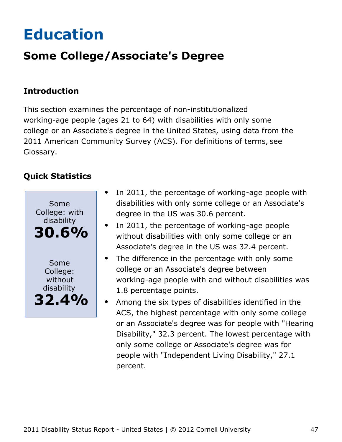# <span id="page-47-0"></span>**Education**

## **Some College/Associate's Degree**

### **Introduction**

This section examines the percentage of non-institutionalized working-age people (ages 21 to 64) with disabilities with only some college or an Associate's degree in the United States, using data from the 2011 American Community Survey (ACS). For definitions of terms, see Glossary.



- In 2011, the percentage of working-age people with  $\bullet$ disabilities with only some college or an Associate's degree in the US was 30.6 percent.
- In 2011, the percentage of working-age people without disabilities with only some college or an Associate's degree in the US was 32.4 percent.
- The difference in the percentage with only some  $\bullet$ college or an Associate's degree between working-age people with and without disabilities was 1.8 percentage points.
- Among the six types of disabilities identified in the ACS, the highest percentage with only some college or an Associate's degree was for people with "Hearing Disability," 32.3 percent. The lowest percentage with only some college or Associate's degree was for people with "Independent Living Disability," 27.1 percent.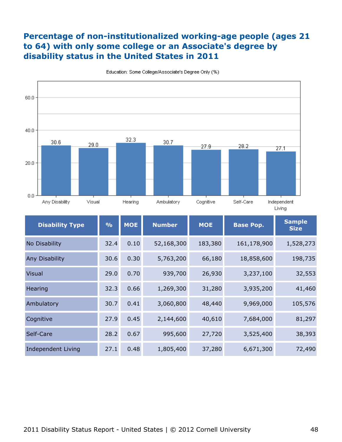### **Percentage of non-institutionalized working-age people (ages 21 to 64) with only some college or an Associate's degree by disability status in the United States in 2011**



Education: Some College/Associate's Degree Only (%)

| <b>Disability Type</b> | $\frac{0}{0}$ | <b>MOE</b> | <b>Number</b> | <b>MOE</b> | <b>Base Pop.</b> | <b>Sample</b><br><b>Size</b> |
|------------------------|---------------|------------|---------------|------------|------------------|------------------------------|
| No Disability          | 32.4          | 0.10       | 52,168,300    | 183,380    | 161,178,900      | 1,528,273                    |
| <b>Any Disability</b>  | 30.6          | 0.30       | 5,763,200     | 66,180     | 18,858,600       | 198,735                      |
| <b>Visual</b>          | 29.0          | 0.70       | 939,700       | 26,930     | 3,237,100        | 32,553                       |
| Hearing                | 32.3          | 0.66       | 1,269,300     | 31,280     | 3,935,200        | 41,460                       |
| Ambulatory             | 30.7          | 0.41       | 3,060,800     | 48,440     | 9,969,000        | 105,576                      |
| Cognitive              | 27.9          | 0.45       | 2,144,600     | 40,610     | 7,684,000        | 81,297                       |
| Self-Care              | 28.2          | 0.67       | 995,600       | 27,720     | 3,525,400        | 38,393                       |
| Independent Living     | 27.1          | 0.48       | 1,805,400     | 37,280     | 6,671,300        | 72,490                       |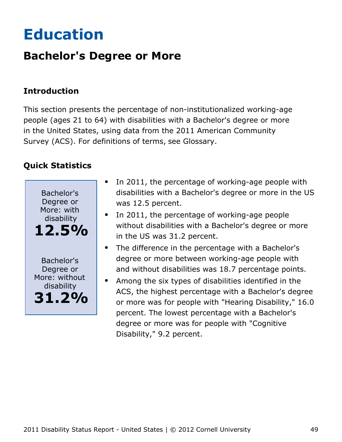# <span id="page-49-0"></span>**Education**

## **Bachelor's Degree or More**

### **Introduction**

This section presents the percentage of non-institutionalized working-age people (ages 21 to 64) with disabilities with a Bachelor's degree or more in the United States, using data from the 2011 American Community Survey (ACS). For definitions of terms, see Glossary.



- In 2011, the percentage of working-age people with disabilities with a Bachelor's degree or more in the US was 12.5 percent.
- In 2011, the percentage of working-age people without disabilities with a Bachelor's degree or more in the US was 31.2 percent.
- The difference in the percentage with a Bachelor's degree or more between working-age people with and without disabilities was 18.7 percentage points.
- Among the six types of disabilities identified in the ACS, the highest percentage with a Bachelor's degree or more was for people with "Hearing Disability," 16.0 percent. The lowest percentage with a Bachelor's degree or more was for people with "Cognitive Disability," 9.2 percent.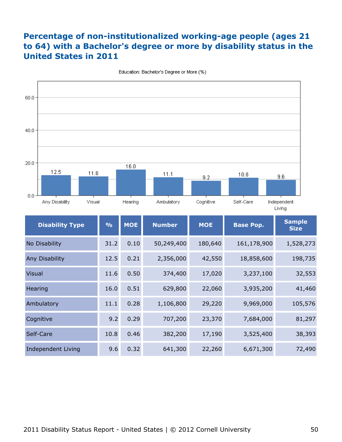## **Percentage of non-institutionalized working-age people (ages 21 to 64) with a Bachelor's degree or more by disability status in the United States in 2011**



Education: Bachelor's Degree or More (%)

| <b>Disability Type</b>    | $\frac{0}{0}$ | <b>MOE</b> | <b>Number</b> | <b>MOE</b> | <b>Base Pop.</b> | <b>Sample</b><br><b>Size</b> |
|---------------------------|---------------|------------|---------------|------------|------------------|------------------------------|
| No Disability             | 31.2          | 0.10       | 50,249,400    | 180,640    | 161,178,900      | 1,528,273                    |
| Any Disability            | 12.5          | 0.21       | 2,356,000     | 42,550     | 18,858,600       | 198,735                      |
| <b>Visual</b>             | 11.6          | 0.50       | 374,400       | 17,020     | 3,237,100        | 32,553                       |
| Hearing                   | 16.0          | 0.51       | 629,800       | 22,060     | 3,935,200        | 41,460                       |
| Ambulatory                | 11.1          | 0.28       | 1,106,800     | 29,220     | 9,969,000        | 105,576                      |
| Cognitive                 | 9.2           | 0.29       | 707,200       | 23,370     | 7,684,000        | 81,297                       |
| Self-Care                 | 10.8          | 0.46       | 382,200       | 17,190     | 3,525,400        | 38,393                       |
| <b>Independent Living</b> | 9.6           | 0.32       | 641,300       | 22,260     | 6,671,300        | 72,490                       |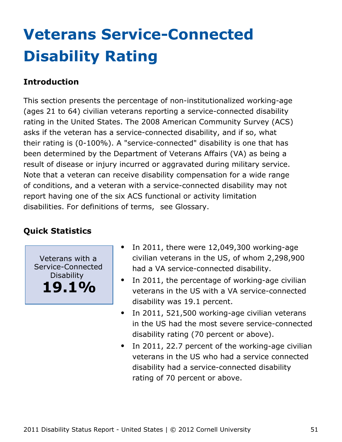# <span id="page-51-0"></span>**Veterans Service-Connected Disability Rating**

### **Introduction**

This section presents the percentage of non-institutionalized working-age (ages 21 to 64) civilian veterans reporting a service-connected disability rating in the United States. The 2008 American Community Survey (ACS) asks if the veteran has a service-connected disability, and if so, what their rating is (0-100%). A "service-connected" disability is one that has been determined by the Department of Veterans Affairs (VA) as being a result of disease or injury incurred or aggravated during military service. Note that a veteran can receive disability compensation for a wide range of conditions, and a veteran with a service-connected disability may not report having one of the six ACS functional or activity limitation disabilities. For definitions of terms, see Glossary.

### **Quick Statistics**

Veterans with a Service-Connected Disability **19.1%**

- In 2011, there were 12,049,300 working-age civilian veterans in the US, of whom 2,298,900 had a VA service-connected disability.
- $\bullet$ In 2011, the percentage of working-age civilian veterans in the US with a VA service-connected disability was 19.1 percent.
- In 2011, 521,500 working-age civilian veterans  $\bullet$ in the US had the most severe service-connected disability rating (70 percent or above).
- In 2011, 22.7 percent of the working-age civilian  $\bullet$ veterans in the US who had a service connected disability had a service-connected disability rating of 70 percent or above.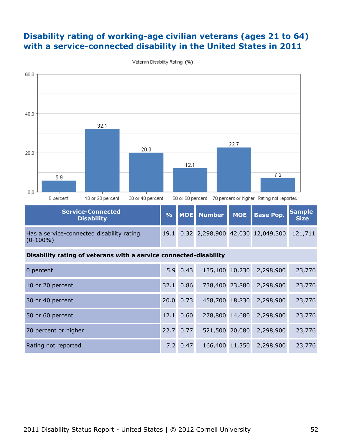#### **Disability rating of working-age civilian veterans (ages 21 to 64) with a service-connected disability in the United States in 2011**



Veteran Disability Rating (%)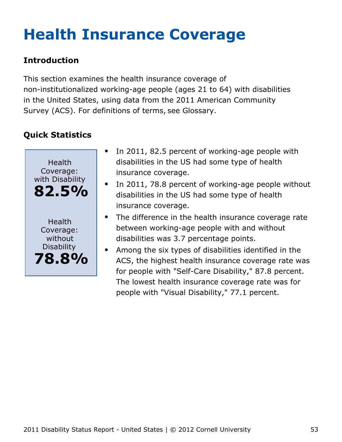# <span id="page-53-0"></span>**Health Insurance Coverage**

## **Introduction**

This section examines the health insurance coverage of non-institutionalized working-age people (ages 21 to 64) with disabilities in the United States, using data from the 2011 American Community Survey (ACS). For definitions of terms, see Glossary.



- In 2011, 82.5 percent of working-age people with disabilities in the US had some type of health insurance coverage.
- In 2011, 78.8 percent of working-age people without disabilities in the US had some type of health insurance coverage.
- The difference in the health insurance coverage rate between working-age people with and without disabilities was 3.7 percentage points.
- Among the six types of disabilities identified in the  $\bullet$ ACS, the highest health insurance coverage rate was for people with "Self-Care Disability," 87.8 percent. The lowest health insurance coverage rate was for people with "Visual Disability," 77.1 percent.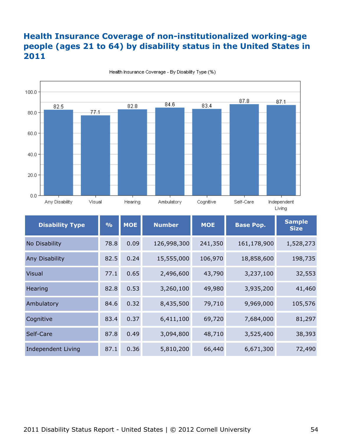### **Health Insurance Coverage of non-institutionalized working-age people (ages 21 to 64) by disability status in the United States in 2011**



Health Insurance Coverage - By Disability Type (%)

| <b>Disability Type</b> | $\frac{9}{6}$ | <b>MOE</b> | <b>Number</b> | <b>MOE</b> | <b>Base Pop.</b> | <b>Sample</b><br><b>Size</b> |
|------------------------|---------------|------------|---------------|------------|------------------|------------------------------|
| No Disability          | 78.8          | 0.09       | 126,998,300   | 241,350    | 161,178,900      | 1,528,273                    |
| Any Disability         | 82.5          | 0.24       | 15,555,000    | 106,970    | 18,858,600       | 198,735                      |
| <b>Visual</b>          | 77.1          | 0.65       | 2,496,600     | 43,790     | 3,237,100        | 32,553                       |
| Hearing                | 82.8          | 0.53       | 3,260,100     | 49,980     | 3,935,200        | 41,460                       |
| Ambulatory             | 84.6          | 0.32       | 8,435,500     | 79,710     | 9,969,000        | 105,576                      |
| Cognitive              | 83.4          | 0.37       | 6,411,100     | 69,720     | 7,684,000        | 81,297                       |
| Self-Care              | 87.8          | 0.49       | 3,094,800     | 48,710     | 3,525,400        | 38,393                       |
| Independent Living     | 87.1          | 0.36       | 5,810,200     | 66,440     | 6,671,300        | 72,490                       |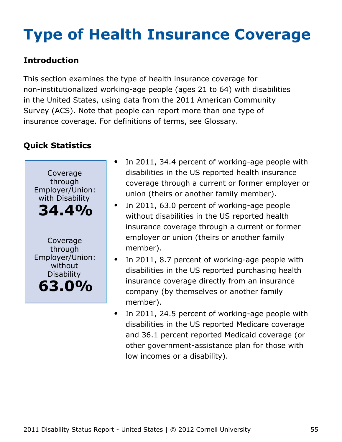# <span id="page-55-0"></span>**Type of Health Insurance Coverage**

## **Introduction**

This section examines the type of health insurance coverage for non-institutionalized working-age people (ages 21 to 64) with disabilities in the United States, using data from the 2011 American Community Survey (ACS). Note that people can report more than one type of insurance coverage. For definitions of terms, see Glossary.



- In 2011, 34.4 percent of working-age people with disabilities in the US reported health insurance coverage through a current or former employer or union (theirs or another family member).
- $\bullet$ In 2011, 63.0 percent of working-age people without disabilities in the US reported health insurance coverage through a current or former employer or union (theirs or another family member).
- In 2011, 8.7 percent of working-age people with disabilities in the US reported purchasing health insurance coverage directly from an insurance company (by themselves or another family member).
- In 2011, 24.5 percent of working-age people with  $\bullet$ disabilities in the US reported Medicare coverage and 36.1 percent reported Medicaid coverage (or other government-assistance plan for those with low incomes or a disability).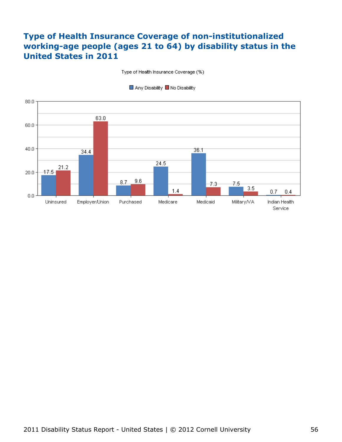### **Type of Health Insurance Coverage of non-institutionalized working-age people (ages 21 to 64) by disability status in the United States in 2011**

Type of Health Insurance Coverage (%)



■ Any Disability ■ No Disability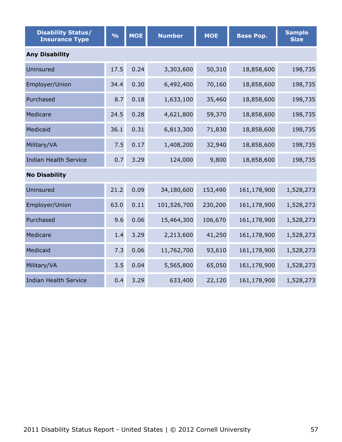| <b>Disability Status/</b><br><b>Insurance Type</b> | $\frac{1}{2}$ | <b>MOE</b> | <b>Number</b> | <b>MOE</b> | <b>Base Pop.</b> | <b>Sample</b><br><b>Size</b> |  |  |  |  |
|----------------------------------------------------|---------------|------------|---------------|------------|------------------|------------------------------|--|--|--|--|
| <b>Any Disability</b>                              |               |            |               |            |                  |                              |  |  |  |  |
| Uninsured                                          | 17.5          | 0.24       | 3,303,600     | 50,310     | 18,858,600       | 198,735                      |  |  |  |  |
| Employer/Union                                     | 34.4          | 0.30       | 6,492,400     | 70,160     | 18,858,600       | 198,735                      |  |  |  |  |
| Purchased                                          | 8.7           | 0.18       | 1,633,100     | 35,460     | 18,858,600       | 198,735                      |  |  |  |  |
| Medicare                                           | 24.5          | 0.28       | 4,621,800     | 59,370     | 18,858,600       | 198,735                      |  |  |  |  |
| Medicaid                                           | 36.1          | 0.31       | 6,813,300     | 71,830     | 18,858,600       | 198,735                      |  |  |  |  |
| Military/VA                                        | 7.5           | 0.17       | 1,408,200     | 32,940     | 18,858,600       | 198,735                      |  |  |  |  |
| <b>Indian Health Service</b>                       | 0.7           | 3.29       | 124,000       | 9,800      | 18,858,600       | 198,735                      |  |  |  |  |
| <b>No Disability</b>                               |               |            |               |            |                  |                              |  |  |  |  |
| Uninsured                                          | 21.2          | 0.09       | 34,180,600    | 153,490    | 161,178,900      | 1,528,273                    |  |  |  |  |
| Employer/Union                                     | 63.0          | 0.11       | 101,526,700   | 230,200    | 161,178,900      | 1,528,273                    |  |  |  |  |
| Purchased                                          | 9.6           | 0.06       | 15,464,300    | 106,670    | 161,178,900      | 1,528,273                    |  |  |  |  |
| Medicare                                           | 1.4           | 3.29       | 2,213,600     | 41,250     | 161,178,900      | 1,528,273                    |  |  |  |  |
| Medicaid                                           | 7.3           | 0.06       | 11,762,700    | 93,610     | 161,178,900      | 1,528,273                    |  |  |  |  |
| Military/VA                                        | 3.5           | 0.04       | 5,565,800     | 65,050     | 161,178,900      | 1,528,273                    |  |  |  |  |
| <b>Indian Health Service</b>                       | 0.4           | 3.29       | 633,400       | 22,120     | 161,178,900      | 1,528,273                    |  |  |  |  |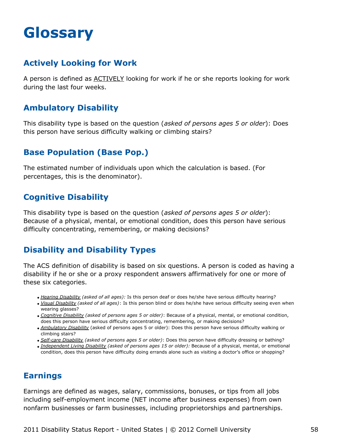## <span id="page-58-0"></span>**Glossary**

#### **Actively Looking for Work**

A person is defined as ACTIVELY looking for work if he or she reports looking for work during the last four weeks.

### **Ambulatory Disability**

This disability type is based on the question (*asked of persons ages 5 or older*): Does this person have serious difficulty walking or climbing stairs?

### **Base Population (Base Pop.)**

The estimated number of individuals upon which the calculation is based. (For percentages, this is the denominator).

#### **Cognitive Disability**

This disability type is based on the question (*asked of persons ages 5 or older*): Because of a physical, mental, or emotional condition, does this person have serious difficulty concentrating, remembering, or making decisions?

### **Disability and Disability Types**

The ACS definition of disability is based on six questions. A person is coded as having a disability if he or she or a proxy respondent answers affirmatively for one or more of these six categories.

- *Hearing Disability (asked of all ages):* Is this person deaf or does he/she have serious difficulty hearing?
- *Visual Disability (asked of all ages)*: Is this person blind or does he/she have serious difficulty seeing even when wearing glasses?
- *Cognitive Disability (asked of persons ages 5 or older)*: Because of a physical, mental, or emotional condition, does this person have serious difficulty concentrating, remembering, or making decisions?
- *Ambulatory Disability* (asked of persons ages 5 or older): Does this person have serious difficulty walking or climbing stairs?
- *Self-care Disability (asked of persons ages 5 or older)*: Does this person have difficulty dressing or bathing?
- *Independent Living Disability (asked of persons ages 15 or older):* Because of a physical, mental, or emotional condition, does this person have difficulty doing errands alone such as visiting a doctor's office or shopping?

#### **Earnings**

Earnings are defined as wages, salary, commissions, bonuses, or tips from all jobs including self-employment income (NET income after business expenses) from own nonfarm businesses or farm businesses, including proprietorships and partnerships.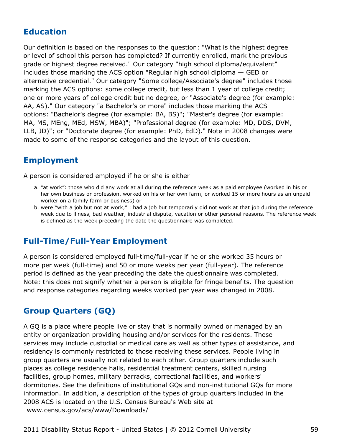#### **Education**

Our definition is based on the responses to the question: "What is the highest degree or level of school this person has completed? If currently enrolled, mark the previous grade or highest degree received." Our category "high school diploma/equivalent" includes those marking the ACS option "Regular high school diploma — GED or alternative credential." Our category "Some college/Associate's degree" includes those marking the ACS options: some college credit, but less than 1 year of college credit; one or more years of college credit but no degree, or "Associate's degree (for example: AA, AS)." Our category "a Bachelor's or more" includes those marking the ACS options: "Bachelor's degree (for example: BA, BS)"; "Master's degree (for example: MA, MS, MEng, MEd, MSW, MBA)"; "Professional degree (for example: MD, DDS, DVM, LLB, JD)"; or "Doctorate degree (for example: PhD, EdD)." Note in 2008 changes were made to some of the response categories and the layout of this question.

#### **Employment**

A person is considered employed if he or she is either

- a. "at work": those who did any work at all during the reference week as a paid employee (worked in his or her own business or profession, worked on his or her own farm, or worked 15 or more hours as an unpaid worker on a family farm or business) or
- b. were "with a job but not at work," : had a job but temporarily did not work at that job during the reference week due to illness, bad weather, industrial dispute, vacation or other personal reasons. The reference week is defined as the week preceding the date the questionnaire was completed.

#### **Full-Time/Full-Year Employment**

A person is considered employed full-time/full-year if he or she worked 35 hours or more per week (full-time) and 50 or more weeks per year (full-year). The reference period is defined as the year preceding the date the questionnaire was completed. Note: this does not signify whether a person is eligible for fringe benefits. The question and response categories regarding weeks worked per year was changed in 2008.

### **Group Quarters (GQ)**

A GQ is a place where people live or stay that is normally owned or managed by an entity or organization providing housing and/or services for the residents. These services may include custodial or medical care as well as other types of assistance, and residency is commonly restricted to those receiving these services. People living in group quarters are usually not related to each other. Group quarters include such places as college residence halls, residential treatment centers, skilled nursing facilities, group homes, military barracks, correctional facilities, and workers' dormitories. See the definitions of institutional GQs and non-institutional GQs for more information. In addition, a description of the types of group quarters included in the 2008 ACS is located on the U.S. Census Bureau's Web site at [www.census.gov/acs/www/Downloads/](http://www.census.gov/acs/www/Downloads/2008_ACS_GQ_Definitions.pdf)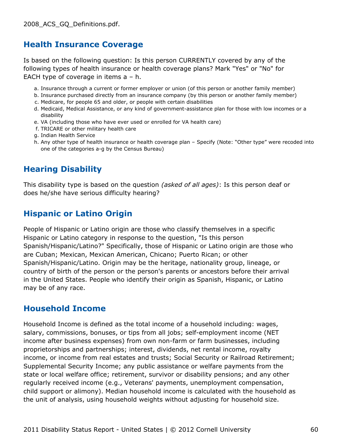#### **Health Insurance Coverage**

Is based on the following question: Is this person CURRENTLY covered by any of the following types of health insurance or health coverage plans? Mark "Yes" or "No" for EACH type of coverage in items a – h.

- a. Insurance through a current or former employer or union (of this person or another family member)
- b. Insurance purchased directly from an insurance company (by this person or another family member)
- c. Medicare, for people 65 and older, or people with certain disabilities
- d. Medicaid, Medical Assistance, or any kind of government-assistance plan for those with low incomes or a disability
- e. VA (including those who have ever used or enrolled for VA health care)
- f. TRICARE or other military health care
- g. Indian Health Service
- h. Any other type of health insurance or health coverage plan Specify (Note: "Other type" were recoded into one of the categories a-g by the Census Bureau)

#### **Hearing Disability**

This disability type is based on the question *(asked of all ages)*: Is this person deaf or does he/she have serious difficulty hearing?

#### **Hispanic or Latino Origin**

People of Hispanic or Latino origin are those who classify themselves in a specific Hispanic or Latino category in response to the question, "Is this person Spanish/Hispanic/Latino?" Specifically, those of Hispanic or Latino origin are those who are Cuban; Mexican, Mexican American, Chicano; Puerto Rican; or other Spanish/Hispanic/Latino. Origin may be the heritage, nationality group, lineage, or country of birth of the person or the person's parents or ancestors before their arrival in the United States. People who identify their origin as Spanish, Hispanic, or Latino may be of any race.

#### **Household Income**

Household Income is defined as the total income of a household including: wages, salary, commissions, bonuses, or tips from all jobs; self-employment income (NET income after business expenses) from own non-farm or farm businesses, including proprietorships and partnerships; interest, dividends, net rental income, royalty income, or income from real estates and trusts; Social Security or Railroad Retirement; Supplemental Security Income; any public assistance or welfare payments from the state or local welfare office; retirement, survivor or disability pensions; and any other regularly received income (e.g., Veterans' payments, unemployment compensation, child support or alimony). Median household income is calculated with the household as the unit of analysis, using household weights without adjusting for household size.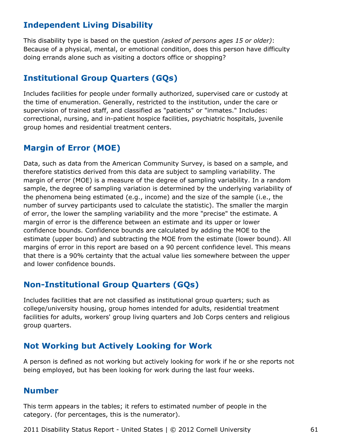#### **Independent Living Disability**

This disability type is based on the question *(asked of persons ages 15 or older)*: Because of a physical, mental, or emotional condition, does this person have difficulty doing errands alone such as visiting a doctors office or shopping?

#### **Institutional Group Quarters (GQs)**

Includes facilities for people under formally authorized, supervised care or custody at the time of enumeration. Generally, restricted to the institution, under the care or supervision of trained staff, and classified as "patients" or "inmates." Includes: correctional, nursing, and in-patient hospice facilities, psychiatric hospitals, juvenile group homes and residential treatment centers.

### **Margin of Error (MOE)**

Data, such as data from the American Community Survey, is based on a sample, and therefore statistics derived from this data are subject to sampling variability. The margin of error (MOE) is a measure of the degree of sampling variability. In a random sample, the degree of sampling variation is determined by the underlying variability of the phenomena being estimated (e.g., income) and the size of the sample (i.e., the number of survey participants used to calculate the statistic). The smaller the margin of error, the lower the sampling variability and the more "precise" the estimate. A margin of error is the difference between an estimate and its upper or lower confidence bounds. Confidence bounds are calculated by adding the MOE to the estimate (upper bound) and subtracting the MOE from the estimate (lower bound). All margins of error in this report are based on a 90 percent confidence level. This means that there is a 90% certainty that the actual value lies somewhere between the upper and lower confidence bounds.

#### **Non-Institutional Group Quarters (GQs)**

Includes facilities that are not classified as institutional group quarters; such as college/university housing, group homes intended for adults, residential treatment facilities for adults, workers' group living quarters and Job Corps centers and religious group quarters.

#### **Not Working but Actively Looking for Work**

A person is defined as not working but actively looking for work if he or she reports not being employed, but has been looking for work during the last four weeks.

#### **Number**

This term appears in the tables; it refers to estimated number of people in the category. (for percentages, this is the numerator).

2011 Disability Status Report - United States | © 2012 Cornell University 61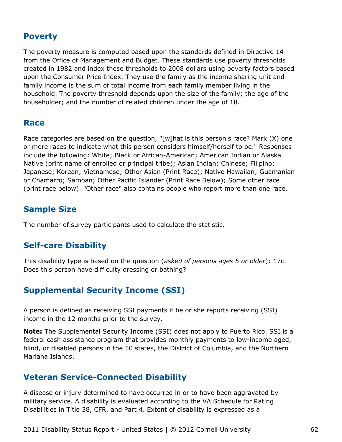#### **Poverty**

The poverty measure is computed based upon the standards defined in Directive 14 from the Office of Management and Budget. These standards use poverty thresholds created in 1982 and index these thresholds to 2008 dollars using poverty factors based upon the Consumer Price Index. They use the family as the income sharing unit and family income is the sum of total income from each family member living in the household. The poverty threshold depends upon the size of the family; the age of the householder; and the number of related children under the age of 18.

#### **Race**

Race categories are based on the question, "[w]hat is this person's race? Mark (X) one or more races to indicate what this person considers himself/herself to be." Responses include the following: White; Black or African-American; American Indian or Alaska Native (print name of enrolled or principal tribe); Asian Indian; Chinese; Filipino; Japanese; Korean; Vietnamese; Other Asian (Print Race); Native Hawaiian; Guamanian or Chamarro; Samoan; Other Pacific Islander (Print Race Below); Some other race (print race below). "Other race" also contains people who report more than one race.

#### **Sample Size**

The number of survey participants used to calculate the statistic.

#### **Self-care Disability**

This disability type is based on the question (*asked of persons ages 5 or older*): 17c. Does this person have difficulty dressing or bathing?

#### **Supplemental Security Income (SSI)**

A person is defined as receiving SSI payments if he or she reports receiving (SSI) income in the 12 months prior to the survey.

**Note:** The Supplemental Security Income (SSI) does not apply to Puerto Rico. SSI is a federal cash assistance program that provides monthly payments to low-income aged, blind, or disabled persons in the 50 states, the District of Columbia, and the Northern Mariana Islands.

#### **Veteran Service-Connected Disability**

A disease or injury determined to have occurred in or to have been aggravated by military service. A disability is evaluated according to the VA Schedule for Rating Disabilities in Title 38, CFR, and Part 4. Extent of disability is expressed as a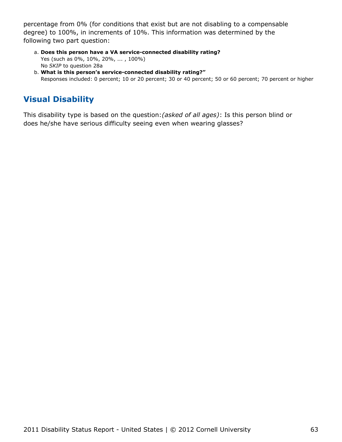percentage from 0% (for conditions that exist but are not disabling to a compensable degree) to 100%, in increments of 10%. This information was determined by the following two part question:

- **Does this person have a VA service-connected disability rating?** a. Yes (such as 0%, 10%, 20%, ... , 100%) No *SKIP* to question 28a
- **What is this person's service-connected disability rating?"** b. Responses included: 0 percent; 10 or 20 percent; 30 or 40 percent; 50 or 60 percent; 70 percent or higher

## **Visual Disability**

This disability type is based on the question:*(asked of all ages)*: Is this person blind or does he/she have serious difficulty seeing even when wearing glasses?